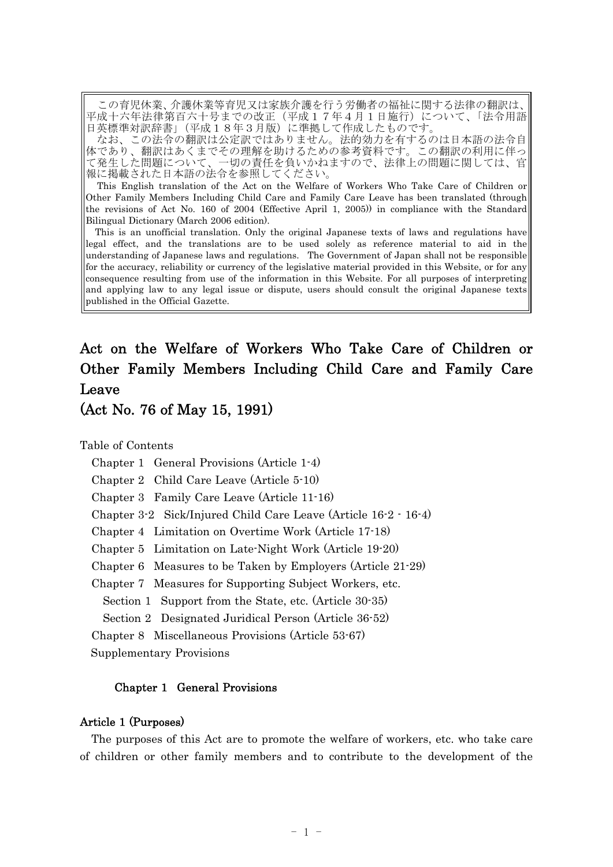この育児休業、介護休業等育児又は家族介護を行う労働者の福祉に関する法律の翻訳は、 平成十六年法律第百六十号までの改正(平成17年4月1日施行)について、「法令用語 日英標準対訳辞書」(平成18年3月版)に準拠して作成したものです。

なお、この法令の翻訳は公定訳ではありません。法的効力を有するのは日本語の法令自 体であり、翻訳はあくまでその理解を助けるための参考資料です。この翻訳の利用に伴っ て発生した問題について、一切の責任を負いかねますので、法律上の問題に関しては、官 報に掲載された日本語の法令を参照してください。

This English translation of the Act on the Welfare of Workers Who Take Care of Children or Other Family Members Including Child Care and Family Care Leave has been translated (through the revisions of Act No. 160 of 2004 (Effective April 1, 2005)) in compliance with the Standard Bilingual Dictionary (March 2006 edition).

This is an unofficial translation. Only the original Japanese texts of laws and regulations have legal effect, and the translations are to be used solely as reference material to aid in the understanding of Japanese laws and regulations. The Government of Japan shall not be responsible for the accuracy, reliability or currency of the legislative material provided in this Website, or for any consequence resulting from use of the information in this Website. For all purposes of interpreting and applying law to any legal issue or dispute, users should consult the original Japanese texts published in the Official Gazette.

# Act on the Welfare of Workers Who Take Care of Children or Other Family Members Including Child Care and Family Care Leave

(Act No. 76 of May 15, 1991)

Table of Contents

Chapter 1 General Provisions (Article 1-4)

Chapter 2 Child Care Leave (Article 5-10)

Chapter 3 Family Care Leave (Article 11-16)

Chapter 3-2 Sick/Injured Child Care Leave (Article 16-2 - 16-4)

Chapter 4 Limitation on Overtime Work (Article 17-18)

Chapter 5 Limitation on Late-Night Work (Article 19-20)

Chapter 6 Measures to be Taken by Employers (Article 21-29)

Chapter 7 Measures for Supporting Subject Workers, etc.

Section 1 Support from the State, etc. (Article 30-35)

Section 2 Designated Juridical Person (Article 36-52)

Chapter 8 Miscellaneous Provisions (Article 53-67)

Supplementary Provisions

## Chapter 1 General Provisions

## Article 1 (Purposes)

The purposes of this Act are to promote the welfare of workers, etc. who take care of children or other family members and to contribute to the development of the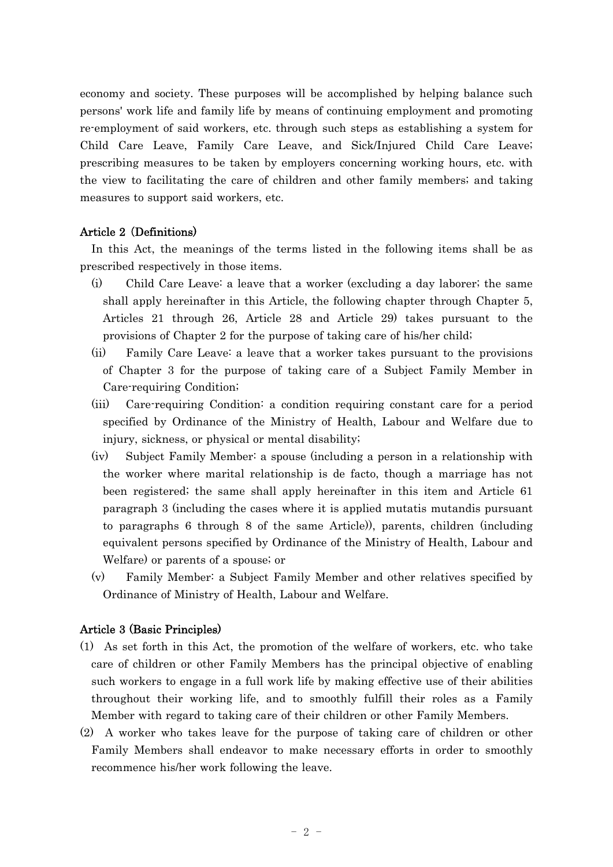economy and society. These purposes will be accomplished by helping balance such persons' work life and family life by means of continuing employment and promoting re-employment of said workers, etc. through such steps as establishing a system for Child Care Leave, Family Care Leave, and Sick/Injured Child Care Leave; prescribing measures to be taken by employers concerning working hours, etc. with the view to facilitating the care of children and other family members; and taking measures to support said workers, etc.

## Article 2 Definitions) (

In this Act, the meanings of the terms listed in the following items shall be as prescribed respectively in those items.

- (i) Child Care Leave: a leave that a worker (excluding a day laborer; the same shall apply hereinafter in this Article, the following chapter through Chapter 5, Articles 21 through 26, Article 28 and Article 29) takes pursuant to the provisions of Chapter 2 for the purpose of taking care of his/her child;
- (ii) Family Care Leave: a leave that a worker takes pursuant to the provisions of Chapter 3 for the purpose of taking care of a Subject Family Member in Care-requiring Condition;
- (iii) Care-requiring Condition: a condition requiring constant care for a period specified by Ordinance of the Ministry of Health, Labour and Welfare due to injury, sickness, or physical or mental disability;
- (iv) Subject Family Member: a spouse (including a person in a relationship with the worker where marital relationship is de facto, though a marriage has not been registered; the same shall apply hereinafter in this item and Article 61 paragraph 3 (including the cases where it is applied mutatis mutandis pursuant to paragraphs 6 through 8 of the same Article)), parents, children (including equivalent persons specified by Ordinance of the Ministry of Health, Labour and Welfare) or parents of a spouse; or
- (v) Family Member: a Subject Family Member and other relatives specified by Ordinance of Ministry of Health, Labour and Welfare.

#### Article 3 (Basic Principles)

- (1) As set forth in this Act, the promotion of the welfare of workers, etc. who take care of children or other Family Members has the principal objective of enabling such workers to engage in a full work life by making effective use of their abilities throughout their working life, and to smoothly fulfill their roles as a Family Member with regard to taking care of their children or other Family Members.
- (2) A worker who takes leave for the purpose of taking care of children or other Family Members shall endeavor to make necessary efforts in order to smoothly recommence his/her work following the leave.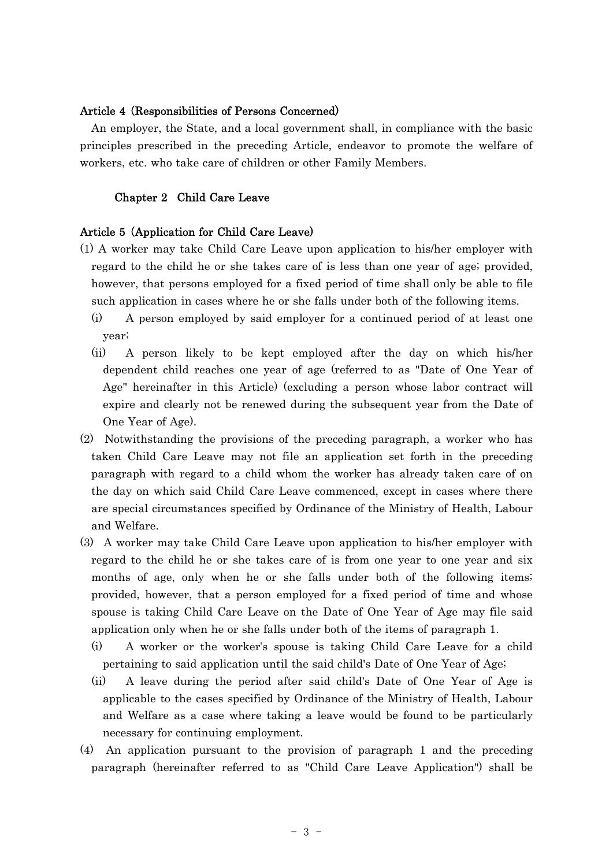## Article 4 (Responsibilities of Persons Concerned)

An employer, the State, and a local government shall, in compliance with the basic principles prescribed in the preceding Article, endeavor to promote the welfare of workers, etc. who take care of children or other Family Members.

## Chapter 2 Child Care Leave

#### Article 5 (Application for Child Care Leave)

- (1) A worker may take Child Care Leave upon application to his/her employer with regard to the child he or she takes care of is less than one year of age; provided, however, that persons employed for a fixed period of time shall only be able to file such application in cases where he or she falls under both of the following items.
	- (i) A person employed by said employer for a continued period of at least one year;
	- (ii) A person likely to be kept employed after the day on which his/her dependent child reaches one year of age (referred to as "Date of One Year of Age" hereinafter in this Article) (excluding a person whose labor contract will expire and clearly not be renewed during the subsequent year from the Date of One Year of Age).
- (2) Notwithstanding the provisions of the preceding paragraph, a worker who has taken Child Care Leave may not file an application set forth in the preceding paragraph with regard to a child whom the worker has already taken care of on the day on which said Child Care Leave commenced, except in cases where there are special circumstances specified by Ordinance of the Ministry of Health, Labour and Welfare.
- (3) A worker may take Child Care Leave upon application to his/her employer with regard to the child he or she takes care of is from one year to one year and six months of age, only when he or she falls under both of the following items; provided, however, that a person employed for a fixed period of time and whose spouse is taking Child Care Leave on the Date of One Year of Age may file said application only when he or she falls under both of the items of paragraph 1.
	- $(i)$  A worker or the worker's spouse is taking Child Care Leave for a child pertaining to said application until the said child's Date of One Year of Age;
	- (ii) A leave during the period after said child's Date of One Year of Age is applicable to the cases specified by Ordinance of the Ministry of Health, Labour and Welfare as a case where taking a leave would be found to be particularly necessary for continuing employment.
- (4) An application pursuant to the provision of paragraph 1 and the preceding paragraph (hereinafter referred to as "Child Care Leave Application") shall be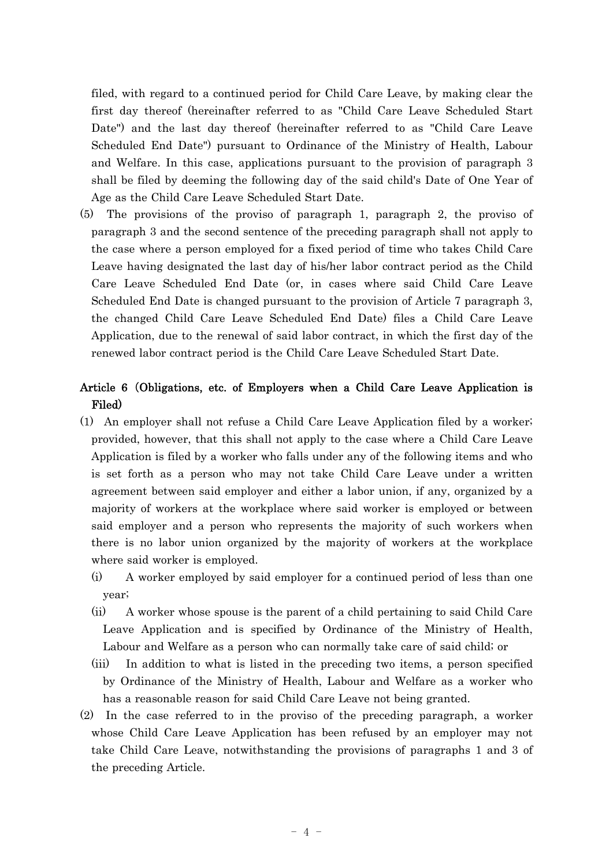filed, with regard to a continued period for Child Care Leave, by making clear the first day thereof (hereinafter referred to as "Child Care Leave Scheduled Start Date") and the last day thereof (hereinafter referred to as "Child Care Leave Scheduled End Date") pursuant to Ordinance of the Ministry of Health, Labour and Welfare. In this case, applications pursuant to the provision of paragraph 3 shall be filed by deeming the following day of the said child's Date of One Year of Age as the Child Care Leave Scheduled Start Date.

(5) The provisions of the proviso of paragraph 1, paragraph 2, the proviso of paragraph 3 and the second sentence of the preceding paragraph shall not apply to the case where a person employed for a fixed period of time who takes Child Care Leave having designated the last day of his/her labor contract period as the Child Care Leave Scheduled End Date (or, in cases where said Child Care Leave Scheduled End Date is changed pursuant to the provision of Article 7 paragraph 3, the changed Child Care Leave Scheduled End Date) files a Child Care Leave Application, due to the renewal of said labor contract, in which the first day of the renewed labor contract period is the Child Care Leave Scheduled Start Date.

## Article 6 Obligations, etc. of Employers when a Child Care Leave Application is ( Filed)

- (1) An employer shall not refuse a Child Care Leave Application filed by a worker; provided, however, that this shall not apply to the case where a Child Care Leave Application is filed by a worker who falls under any of the following items and who is set forth as a person who may not take Child Care Leave under a written agreement between said employer and either a labor union, if any, organized by a majority of workers at the workplace where said worker is employed or between said employer and a person who represents the majority of such workers when there is no labor union organized by the majority of workers at the workplace where said worker is employed.
	- (i) A worker employed by said employer for a continued period of less than one year;
	- (ii) A worker whose spouse is the parent of a child pertaining to said Child Care Leave Application and is specified by Ordinance of the Ministry of Health, Labour and Welfare as a person who can normally take care of said child; or
	- (iii) In addition to what is listed in the preceding two items, a person specified by Ordinance of the Ministry of Health, Labour and Welfare as a worker who has a reasonable reason for said Child Care Leave not being granted.
- (2) In the case referred to in the proviso of the preceding paragraph, a worker whose Child Care Leave Application has been refused by an employer may not take Child Care Leave, notwithstanding the provisions of paragraphs 1 and 3 of the preceding Article.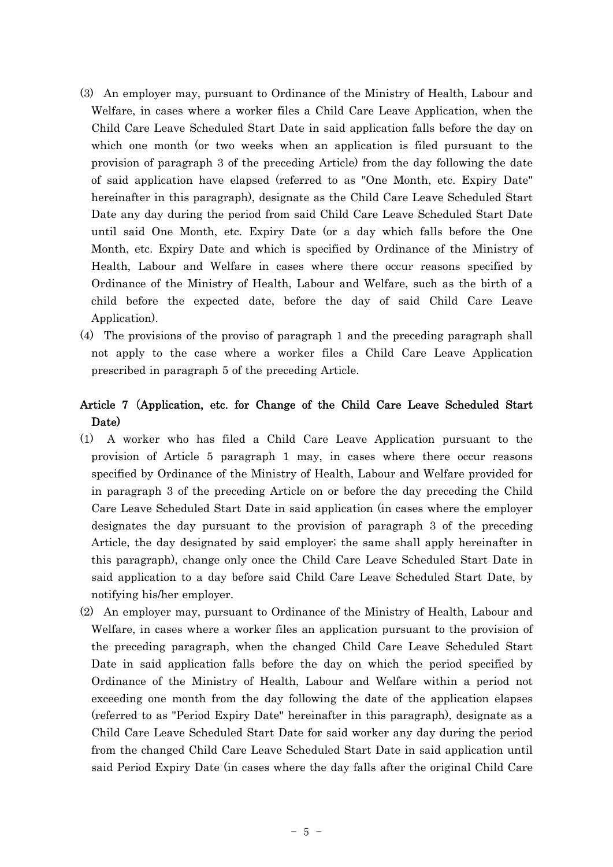- (3) An employer may, pursuant to Ordinance of the Ministry of Health, Labour and Welfare, in cases where a worker files a Child Care Leave Application, when the Child Care Leave Scheduled Start Date in said application falls before the day on which one month (or two weeks when an application is filed pursuant to the provision of paragraph 3 of the preceding Article) from the day following the date of said application have elapsed (referred to as "One Month, etc. Expiry Date" hereinafter in this paragraph), designate as the Child Care Leave Scheduled Start Date any day during the period from said Child Care Leave Scheduled Start Date until said One Month, etc. Expiry Date (or a day which falls before the One Month, etc. Expiry Date and which is specified by Ordinance of the Ministry of Health, Labour and Welfare in cases where there occur reasons specified by Ordinance of the Ministry of Health, Labour and Welfare, such as the birth of a child before the expected date, before the day of said Child Care Leave Application).
- (4) The provisions of the proviso of paragraph 1 and the preceding paragraph shall not apply to the case where a worker files a Child Care Leave Application prescribed in paragraph 5 of the preceding Article.

## Article 7 (Application, etc. for Change of the Child Care Leave Scheduled Start Date)

- (1) A worker who has filed a Child Care Leave Application pursuant to the provision of Article 5 paragraph 1 may, in cases where there occur reasons specified by Ordinance of the Ministry of Health, Labour and Welfare provided for in paragraph 3 of the preceding Article on or before the day preceding the Child Care Leave Scheduled Start Date in said application (in cases where the employer designates the day pursuant to the provision of paragraph 3 of the preceding Article, the day designated by said employer; the same shall apply hereinafter in this paragraph), change only once the Child Care Leave Scheduled Start Date in said application to a day before said Child Care Leave Scheduled Start Date, by notifying his/her employer.
- (2) An employer may, pursuant to Ordinance of the Ministry of Health, Labour and Welfare, in cases where a worker files an application pursuant to the provision of the preceding paragraph, when the changed Child Care Leave Scheduled Start Date in said application falls before the day on which the period specified by Ordinance of the Ministry of Health, Labour and Welfare within a period not exceeding one month from the day following the date of the application elapses (referred to as "Period Expiry Date" hereinafter in this paragraph), designate as a Child Care Leave Scheduled Start Date for said worker any day during the period from the changed Child Care Leave Scheduled Start Date in said application until said Period Expiry Date (in cases where the day falls after the original Child Care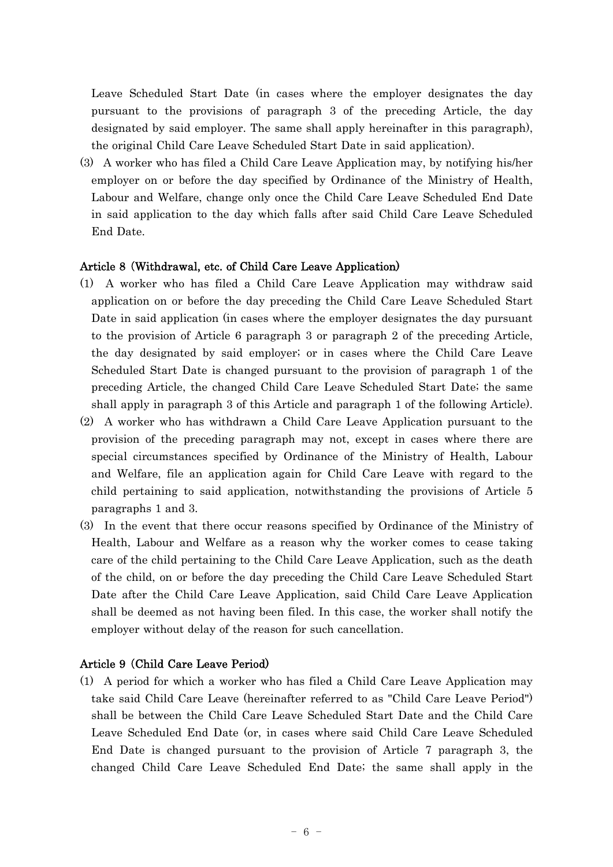Leave Scheduled Start Date (in cases where the employer designates the day pursuant to the provisions of paragraph 3 of the preceding Article, the day designated by said employer. The same shall apply hereinafter in this paragraph), the original Child Care Leave Scheduled Start Date in said application).

(3) A worker who has filed a Child Care Leave Application may, by notifying his/her employer on or before the day specified by Ordinance of the Ministry of Health, Labour and Welfare, change only once the Child Care Leave Scheduled End Date in said application to the day which falls after said Child Care Leave Scheduled End Date.

## Article 8 (Withdrawal, etc. of Child Care Leave Application)

- (1) A worker who has filed a Child Care Leave Application may withdraw said application on or before the day preceding the Child Care Leave Scheduled Start Date in said application (in cases where the employer designates the day pursuant to the provision of Article 6 paragraph 3 or paragraph 2 of the preceding Article, the day designated by said employer; or in cases where the Child Care Leave Scheduled Start Date is changed pursuant to the provision of paragraph 1 of the preceding Article, the changed Child Care Leave Scheduled Start Date; the same shall apply in paragraph 3 of this Article and paragraph 1 of the following Article).
- (2) A worker who has withdrawn a Child Care Leave Application pursuant to the provision of the preceding paragraph may not, except in cases where there are special circumstances specified by Ordinance of the Ministry of Health, Labour and Welfare, file an application again for Child Care Leave with regard to the child pertaining to said application, notwithstanding the provisions of Article 5 paragraphs 1 and 3.
- (3) In the event that there occur reasons specified by Ordinance of the Ministry of Health, Labour and Welfare as a reason why the worker comes to cease taking care of the child pertaining to the Child Care Leave Application, such as the death of the child, on or before the day preceding the Child Care Leave Scheduled Start Date after the Child Care Leave Application, said Child Care Leave Application shall be deemed as not having been filed. In this case, the worker shall notify the employer without delay of the reason for such cancellation.

## Article 9 (Child Care Leave Period)

(1) A period for which a worker who has filed a Child Care Leave Application may take said Child Care Leave (hereinafter referred to as "Child Care Leave Period") shall be between the Child Care Leave Scheduled Start Date and the Child Care Leave Scheduled End Date (or, in cases where said Child Care Leave Scheduled End Date is changed pursuant to the provision of Article 7 paragraph 3, the changed Child Care Leave Scheduled End Date; the same shall apply in the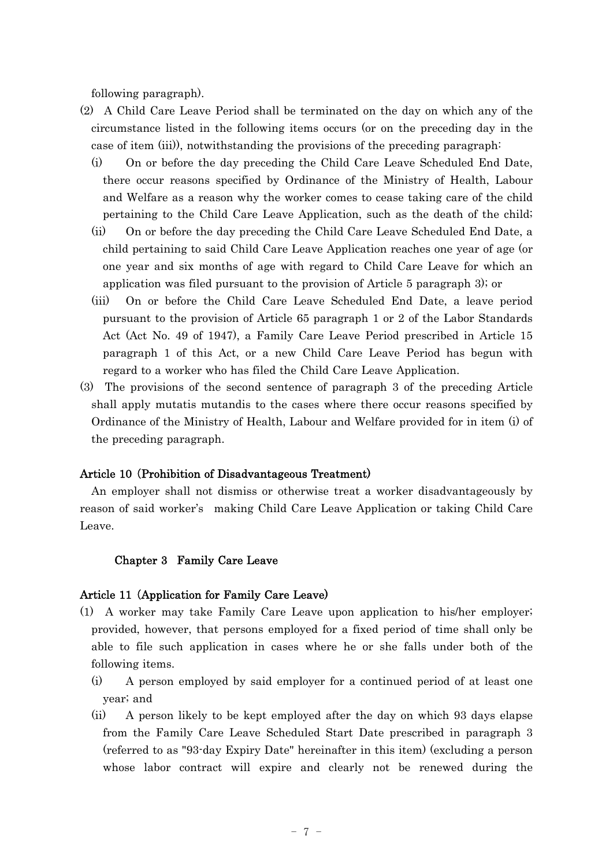following paragraph).

- (2) A Child Care Leave Period shall be terminated on the day on which any of the circumstance listed in the following items occurs (or on the preceding day in the case of item (iii)), notwithstanding the provisions of the preceding paragraph:
	- (i) On or before the day preceding the Child Care Leave Scheduled End Date, there occur reasons specified by Ordinance of the Ministry of Health, Labour and Welfare as a reason why the worker comes to cease taking care of the child pertaining to the Child Care Leave Application, such as the death of the child;
	- (ii) On or before the day preceding the Child Care Leave Scheduled End Date, a child pertaining to said Child Care Leave Application reaches one year of age (or one year and six months of age with regard to Child Care Leave for which an application was filed pursuant to the provision of Article 5 paragraph 3); or
	- (iii) On or before the Child Care Leave Scheduled End Date, a leave period pursuant to the provision of Article 65 paragraph 1 or 2 of the Labor Standards Act (Act No. 49 of 1947), a Family Care Leave Period prescribed in Article 15 paragraph 1 of this Act, or a new Child Care Leave Period has begun with regard to a worker who has filed the Child Care Leave Application.
- (3) The provisions of the second sentence of paragraph 3 of the preceding Article shall apply mutatis mutandis to the cases where there occur reasons specified by Ordinance of the Ministry of Health, Labour and Welfare provided for in item (i) of the preceding paragraph.

## Article 10 (Prohibition of Disadvantageous Treatment)

An employer shall not dismiss or otherwise treat a worker disadvantageously by reason of said worker's making Child Care Leave Application or taking Child Care Leave.

#### Chapter 3 Family Care Leave

#### Article 11 (Application for Family Care Leave)

- (1) A worker may take Family Care Leave upon application to his/her employer; provided, however, that persons employed for a fixed period of time shall only be able to file such application in cases where he or she falls under both of the following items.
	- (i) A person employed by said employer for a continued period of at least one year; and
	- (ii) A person likely to be kept employed after the day on which 93 days elapse from the Family Care Leave Scheduled Start Date prescribed in paragraph 3 (referred to as "93-day Expiry Date" hereinafter in this item) (excluding a person whose labor contract will expire and clearly not be renewed during the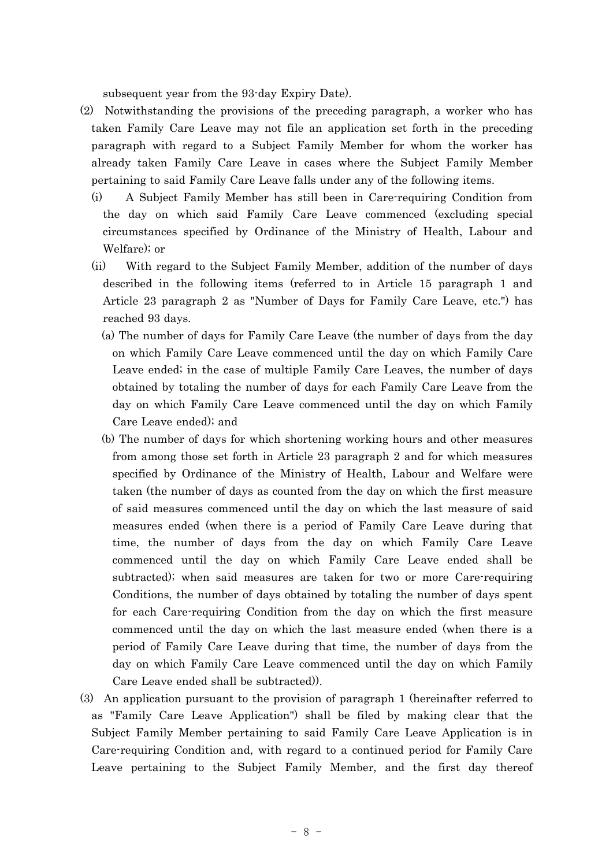subsequent year from the 93-day Expiry Date).

- (2) Notwithstanding the provisions of the preceding paragraph, a worker who has taken Family Care Leave may not file an application set forth in the preceding paragraph with regard to a Subject Family Member for whom the worker has already taken Family Care Leave in cases where the Subject Family Member pertaining to said Family Care Leave falls under any of the following items.
	- (i) A Subject Family Member has still been in Care-requiring Condition from the day on which said Family Care Leave commenced (excluding special circumstances specified by Ordinance of the Ministry of Health, Labour and Welfare); or
	- (ii) With regard to the Subject Family Member, addition of the number of days described in the following items (referred to in Article 15 paragraph 1 and Article 23 paragraph 2 as "Number of Days for Family Care Leave, etc.") has reached 93 days.
		- (a) The number of days for Family Care Leave (the number of days from the day on which Family Care Leave commenced until the day on which Family Care Leave ended; in the case of multiple Family Care Leaves, the number of days obtained by totaling the number of days for each Family Care Leave from the day on which Family Care Leave commenced until the day on which Family Care Leave ended); and
		- (b) The number of days for which shortening working hours and other measures from among those set forth in Article 23 paragraph 2 and for which measures specified by Ordinance of the Ministry of Health, Labour and Welfare were taken (the number of days as counted from the day on which the first measure of said measures commenced until the day on which the last measure of said measures ended (when there is a period of Family Care Leave during that time, the number of days from the day on which Family Care Leave commenced until the day on which Family Care Leave ended shall be subtracted); when said measures are taken for two or more Care-requiring Conditions, the number of days obtained by totaling the number of days spent for each Care-requiring Condition from the day on which the first measure commenced until the day on which the last measure ended (when there is a period of Family Care Leave during that time, the number of days from the day on which Family Care Leave commenced until the day on which Family Care Leave ended shall be subtracted)).
- (3) An application pursuant to the provision of paragraph 1 (hereinafter referred to as "Family Care Leave Application") shall be filed by making clear that the Subject Family Member pertaining to said Family Care Leave Application is in Care-requiring Condition and, with regard to a continued period for Family Care Leave pertaining to the Subject Family Member, and the first day thereof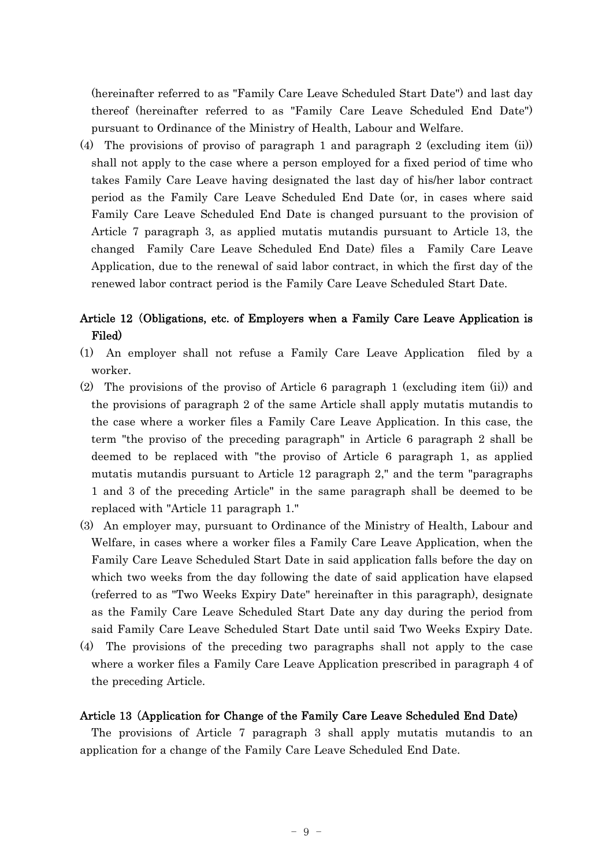(hereinafter referred to as "Family Care Leave Scheduled Start Date") and last day thereof (hereinafter referred to as "Family Care Leave Scheduled End Date") pursuant to Ordinance of the Ministry of Health, Labour and Welfare.

(4) The provisions of proviso of paragraph 1 and paragraph 2 (excluding item (ii)) shall not apply to the case where a person employed for a fixed period of time who takes Family Care Leave having designated the last day of his/her labor contract period as the Family Care Leave Scheduled End Date (or, in cases where said Family Care Leave Scheduled End Date is changed pursuant to the provision of Article 7 paragraph 3, as applied mutatis mutandis pursuant to Article 13, the changed Family Care Leave Scheduled End Date) files a Family Care Leave Application, due to the renewal of said labor contract, in which the first day of the renewed labor contract period is the Family Care Leave Scheduled Start Date.

## Article 12 (Obligations, etc. of Employers when a Family Care Leave Application is Filed)

- (1) An employer shall not refuse a Family Care Leave Application filed by a worker.
- (2) The provisions of the proviso of Article 6 paragraph 1 (excluding item (ii)) and the provisions of paragraph 2 of the same Article shall apply mutatis mutandis to the case where a worker files a Family Care Leave Application. In this case, the term "the proviso of the preceding paragraph" in Article 6 paragraph 2 shall be deemed to be replaced with "the proviso of Article 6 paragraph 1, as applied mutatis mutandis pursuant to Article 12 paragraph 2," and the term "paragraphs 1 and 3 of the preceding Article" in the same paragraph shall be deemed to be replaced with "Article 11 paragraph 1."
- (3) An employer may, pursuant to Ordinance of the Ministry of Health, Labour and Welfare, in cases where a worker files a Family Care Leave Application, when the Family Care Leave Scheduled Start Date in said application falls before the day on which two weeks from the day following the date of said application have elapsed (referred to as "Two Weeks Expiry Date" hereinafter in this paragraph), designate as the Family Care Leave Scheduled Start Date any day during the period from said Family Care Leave Scheduled Start Date until said Two Weeks Expiry Date.
- (4) The provisions of the preceding two paragraphs shall not apply to the case where a worker files a Family Care Leave Application prescribed in paragraph 4 of the preceding Article.

## Article 13 (Application for Change of the Family Care Leave Scheduled End Date)

The provisions of Article 7 paragraph 3 shall apply mutatis mutandis to an application for a change of the Family Care Leave Scheduled End Date.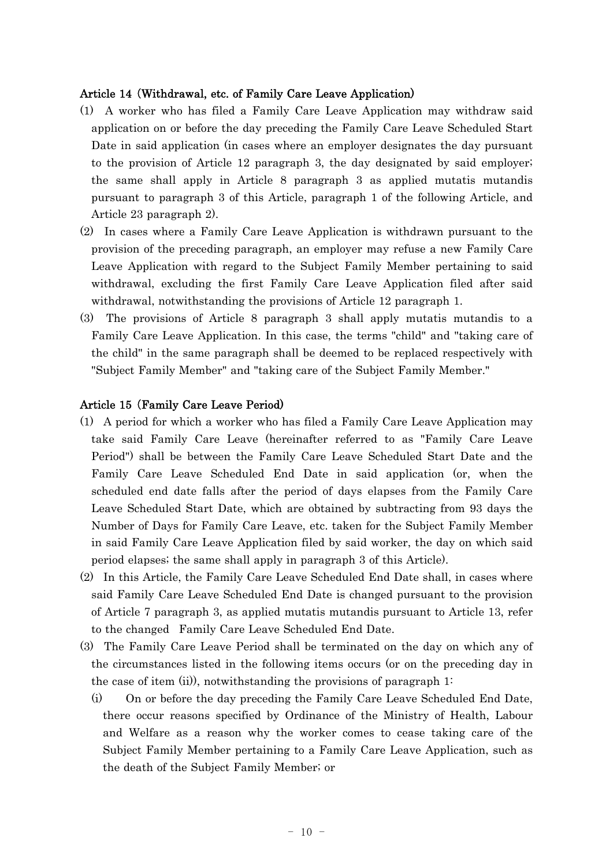## Article 14 Withdrawal, etc. of Family Care Leave Application) (

- (1) A worker who has filed a Family Care Leave Application may withdraw said application on or before the day preceding the Family Care Leave Scheduled Start Date in said application (in cases where an employer designates the day pursuant to the provision of Article 12 paragraph 3, the day designated by said employer; the same shall apply in Article 8 paragraph 3 as applied mutatis mutandis pursuant to paragraph 3 of this Article, paragraph 1 of the following Article, and Article 23 paragraph 2).
- (2) In cases where a Family Care Leave Application is withdrawn pursuant to the provision of the preceding paragraph, an employer may refuse a new Family Care Leave Application with regard to the Subject Family Member pertaining to said withdrawal, excluding the first Family Care Leave Application filed after said withdrawal, notwithstanding the provisions of Article 12 paragraph 1.
- (3) The provisions of Article 8 paragraph 3 shall apply mutatis mutandis to a Family Care Leave Application. In this case, the terms "child" and "taking care of the child" in the same paragraph shall be deemed to be replaced respectively with "Subject Family Member" and "taking care of the Subject Family Member."

## Article 15 (Family Care Leave Period)

- (1) A period for which a worker who has filed a Family Care Leave Application may take said Family Care Leave (hereinafter referred to as "Family Care Leave Period") shall be between the Family Care Leave Scheduled Start Date and the Family Care Leave Scheduled End Date in said application (or, when the scheduled end date falls after the period of days elapses from the Family Care Leave Scheduled Start Date, which are obtained by subtracting from 93 days the Number of Days for Family Care Leave, etc. taken for the Subject Family Member in said Family Care Leave Application filed by said worker, the day on which said period elapses; the same shall apply in paragraph 3 of this Article).
- (2) In this Article, the Family Care Leave Scheduled End Date shall, in cases where said Family Care Leave Scheduled End Date is changed pursuant to the provision of Article 7 paragraph 3, as applied mutatis mutandis pursuant to Article 13, refer to the changed Family Care Leave Scheduled End Date.
- (3) The Family Care Leave Period shall be terminated on the day on which any of the circumstances listed in the following items occurs (or on the preceding day in the case of item  $(ii)$ , notwithstanding the provisions of paragraph 1:
	- (i) On or before the day preceding the Family Care Leave Scheduled End Date, there occur reasons specified by Ordinance of the Ministry of Health, Labour and Welfare as a reason why the worker comes to cease taking care of the Subject Family Member pertaining to a Family Care Leave Application, such as the death of the Subject Family Member; or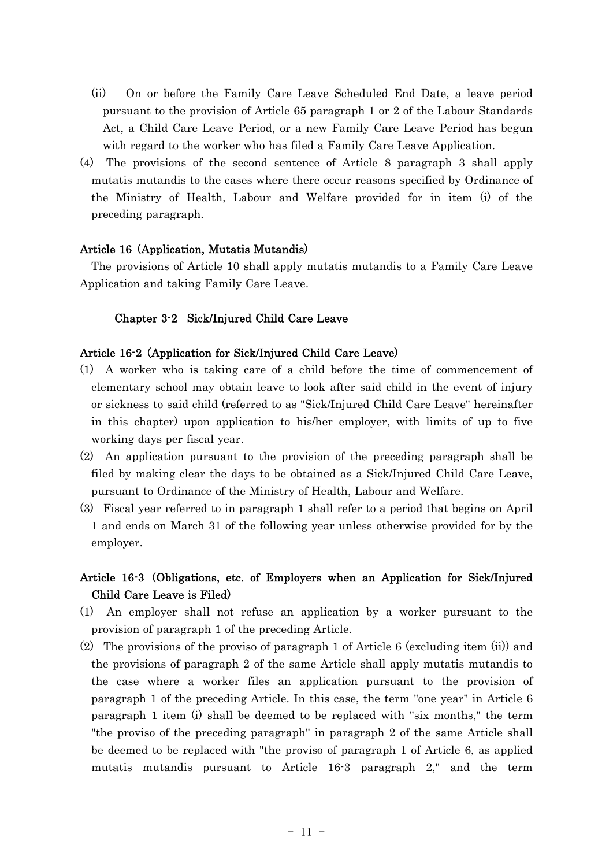- (ii) On or before the Family Care Leave Scheduled End Date, a leave period pursuant to the provision of Article 65 paragraph 1 or 2 of the Labour Standards Act, a Child Care Leave Period, or a new Family Care Leave Period has begun with regard to the worker who has filed a Family Care Leave Application.
- (4) The provisions of the second sentence of Article 8 paragraph 3 shall apply mutatis mutandis to the cases where there occur reasons specified by Ordinance of the Ministry of Health, Labour and Welfare provided for in item (i) of the preceding paragraph.

## Article 16 (Application, Mutatis Mutandis)

The provisions of Article 10 shall apply mutatis mutandis to a Family Care Leave Application and taking Family Care Leave.

## Chapter 3-2 Sick/Injured Child Care Leave

## Article 16-2 (Application for Sick/Injured Child Care Leave)

- (1) A worker who is taking care of a child before the time of commencement of elementary school may obtain leave to look after said child in the event of injury or sickness to said child (referred to as "Sick/Injured Child Care Leave" hereinafter in this chapter) upon application to his/her employer, with limits of up to five working days per fiscal year.
- (2) An application pursuant to the provision of the preceding paragraph shall be filed by making clear the days to be obtained as a Sick/Injured Child Care Leave, pursuant to Ordinance of the Ministry of Health, Labour and Welfare.
- (3) Fiscal year referred to in paragraph 1 shall refer to a period that begins on April 1 and ends on March 31 of the following year unless otherwise provided for by the employer.

## Article 16-3 (Obligations, etc. of Employers when an Application for Sick/Injured Child Care Leave is Filed)

- (1) An employer shall not refuse an application by a worker pursuant to the provision of paragraph 1 of the preceding Article.
- (2) The provisions of the proviso of paragraph 1 of Article 6 (excluding item (ii)) and the provisions of paragraph 2 of the same Article shall apply mutatis mutandis to the case where a worker files an application pursuant to the provision of paragraph 1 of the preceding Article. In this case, the term "one year" in Article 6 paragraph 1 item (i) shall be deemed to be replaced with "six months," the term "the proviso of the preceding paragraph" in paragraph 2 of the same Article shall be deemed to be replaced with "the proviso of paragraph 1 of Article 6, as applied mutatis mutandis pursuant to Article 16-3 paragraph 2," and the term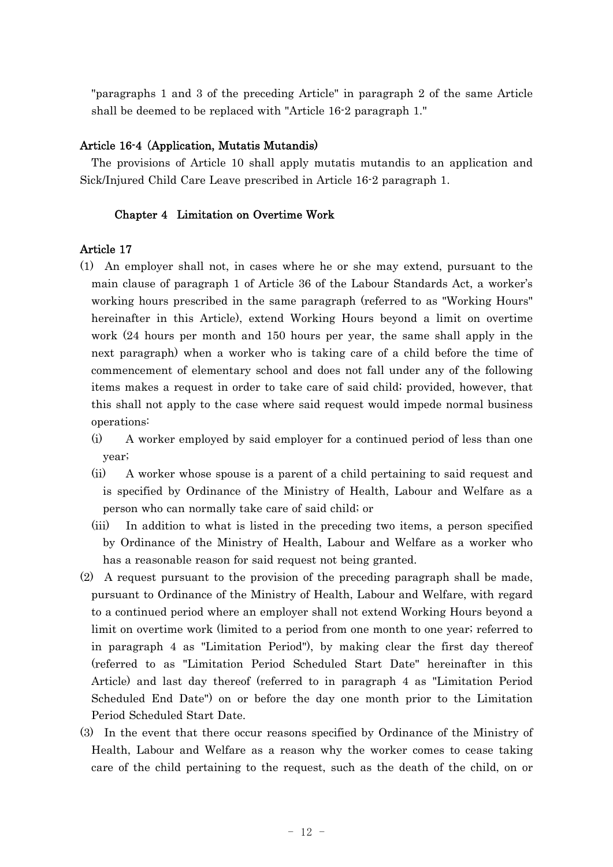"paragraphs 1 and 3 of the preceding Article" in paragraph 2 of the same Article shall be deemed to be replaced with "Article 16-2 paragraph 1."

## Article 16-4 (Application, Mutatis Mutandis)

The provisions of Article 10 shall apply mutatis mutandis to an application and Sick/Injured Child Care Leave prescribed in Article 16-2 paragraph 1.

## Chapter 4 Limitation on Overtime Work

## Article 17

- (1) An employer shall not, in cases where he or she may extend, pursuant to the main clause of paragraph 1 of Article 36 of the Labour Standards Act, a worker's working hours prescribed in the same paragraph (referred to as "Working Hours" hereinafter in this Article), extend Working Hours beyond a limit on overtime work (24 hours per month and 150 hours per year, the same shall apply in the next paragraph) when a worker who is taking care of a child before the time of commencement of elementary school and does not fall under any of the following items makes a request in order to take care of said child; provided, however, that this shall not apply to the case where said request would impede normal business operations:
	- (i) A worker employed by said employer for a continued period of less than one year;
	- (ii) A worker whose spouse is a parent of a child pertaining to said request and is specified by Ordinance of the Ministry of Health, Labour and Welfare as a person who can normally take care of said child; or
	- (iii) In addition to what is listed in the preceding two items, a person specified by Ordinance of the Ministry of Health, Labour and Welfare as a worker who has a reasonable reason for said request not being granted.
- (2) A request pursuant to the provision of the preceding paragraph shall be made, pursuant to Ordinance of the Ministry of Health, Labour and Welfare, with regard to a continued period where an employer shall not extend Working Hours beyond a limit on overtime work (limited to a period from one month to one year; referred to in paragraph 4 as "Limitation Period"), by making clear the first day thereof (referred to as "Limitation Period Scheduled Start Date" hereinafter in this Article) and last day thereof (referred to in paragraph 4 as "Limitation Period Scheduled End Date") on or before the day one month prior to the Limitation Period Scheduled Start Date.
- (3) In the event that there occur reasons specified by Ordinance of the Ministry of Health, Labour and Welfare as a reason why the worker comes to cease taking care of the child pertaining to the request, such as the death of the child, on or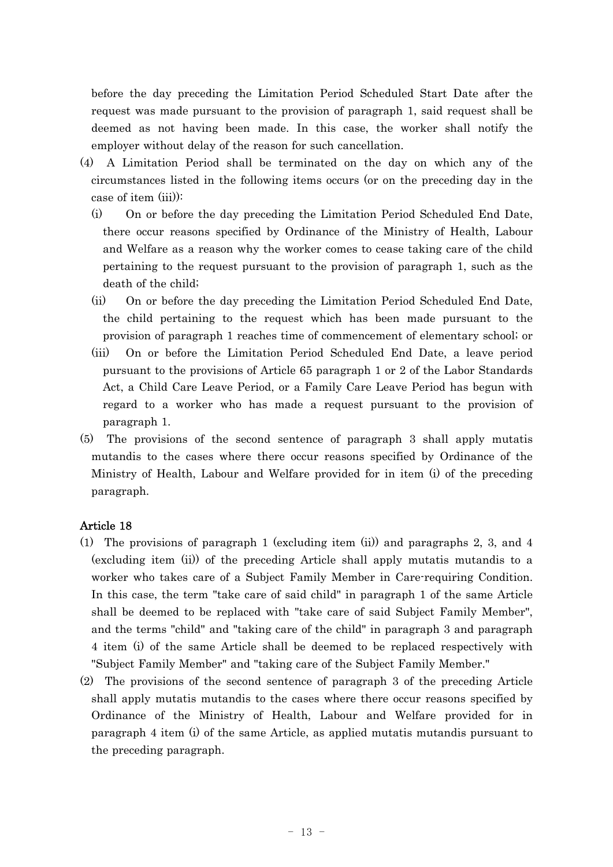before the day preceding the Limitation Period Scheduled Start Date after the request was made pursuant to the provision of paragraph 1, said request shall be deemed as not having been made. In this case, the worker shall notify the employer without delay of the reason for such cancellation.

- (4) A Limitation Period shall be terminated on the day on which any of the circumstances listed in the following items occurs (or on the preceding day in the case of item (iii)):
	- (i) On or before the day preceding the Limitation Period Scheduled End Date, there occur reasons specified by Ordinance of the Ministry of Health, Labour and Welfare as a reason why the worker comes to cease taking care of the child pertaining to the request pursuant to the provision of paragraph 1, such as the death of the child;
	- (ii) On or before the day preceding the Limitation Period Scheduled End Date, the child pertaining to the request which has been made pursuant to the provision of paragraph 1 reaches time of commencement of elementary school; or
	- (iii) On or before the Limitation Period Scheduled End Date, a leave period pursuant to the provisions of Article 65 paragraph 1 or 2 of the Labor Standards Act, a Child Care Leave Period, or a Family Care Leave Period has begun with regard to a worker who has made a request pursuant to the provision of paragraph 1.
- (5) The provisions of the second sentence of paragraph 3 shall apply mutatis mutandis to the cases where there occur reasons specified by Ordinance of the Ministry of Health, Labour and Welfare provided for in item (i) of the preceding paragraph.

## Article 18

- (1) The provisions of paragraph 1 (excluding item (ii)) and paragraphs 2, 3, and 4 (excluding item (ii)) of the preceding Article shall apply mutatis mutandis to a worker who takes care of a Subject Family Member in Care-requiring Condition. In this case, the term "take care of said child" in paragraph 1 of the same Article shall be deemed to be replaced with "take care of said Subject Family Member", and the terms "child" and "taking care of the child" in paragraph 3 and paragraph 4 item (i) of the same Article shall be deemed to be replaced respectively with "Subject Family Member" and "taking care of the Subject Family Member."
- (2) The provisions of the second sentence of paragraph 3 of the preceding Article shall apply mutatis mutandis to the cases where there occur reasons specified by Ordinance of the Ministry of Health, Labour and Welfare provided for in paragraph 4 item (i) of the same Article, as applied mutatis mutandis pursuant to the preceding paragraph.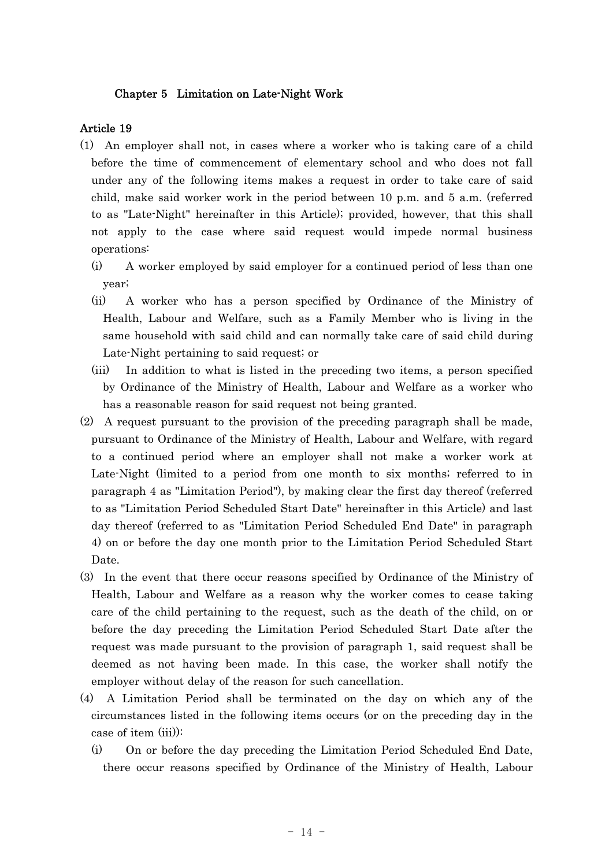## Chapter 5 Limitation on Late-Night Work

#### Article 19

- (1) An employer shall not, in cases where a worker who is taking care of a child before the time of commencement of elementary school and who does not fall under any of the following items makes a request in order to take care of said child, make said worker work in the period between 10 p.m. and 5 a.m. (referred to as "Late-Night" hereinafter in this Article); provided, however, that this shall not apply to the case where said request would impede normal business operations:
	- (i) A worker employed by said employer for a continued period of less than one year;
	- (ii) A worker who has a person specified by Ordinance of the Ministry of Health, Labour and Welfare, such as a Family Member who is living in the same household with said child and can normally take care of said child during Late-Night pertaining to said request; or
	- (iii) In addition to what is listed in the preceding two items, a person specified by Ordinance of the Ministry of Health, Labour and Welfare as a worker who has a reasonable reason for said request not being granted.
- (2) A request pursuant to the provision of the preceding paragraph shall be made, pursuant to Ordinance of the Ministry of Health, Labour and Welfare, with regard to a continued period where an employer shall not make a worker work at Late-Night (limited to a period from one month to six months; referred to in paragraph 4 as "Limitation Period"), by making clear the first day thereof (referred to as "Limitation Period Scheduled Start Date" hereinafter in this Article) and last day thereof (referred to as "Limitation Period Scheduled End Date" in paragraph 4) on or before the day one month prior to the Limitation Period Scheduled Start Date.
- (3) In the event that there occur reasons specified by Ordinance of the Ministry of Health, Labour and Welfare as a reason why the worker comes to cease taking care of the child pertaining to the request, such as the death of the child, on or before the day preceding the Limitation Period Scheduled Start Date after the request was made pursuant to the provision of paragraph 1, said request shall be deemed as not having been made. In this case, the worker shall notify the employer without delay of the reason for such cancellation.
- (4) A Limitation Period shall be terminated on the day on which any of the circumstances listed in the following items occurs (or on the preceding day in the case of item (iii)):
	- (i) On or before the day preceding the Limitation Period Scheduled End Date, there occur reasons specified by Ordinance of the Ministry of Health, Labour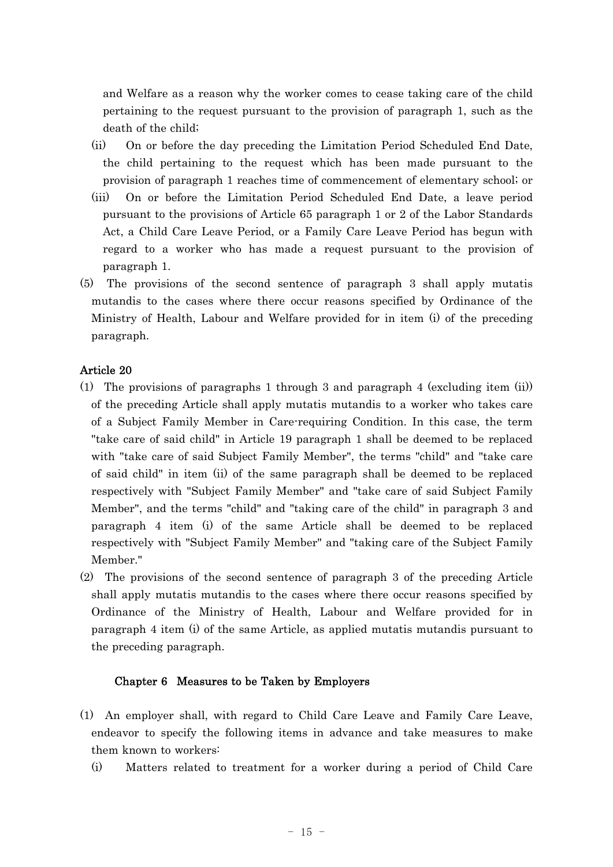and Welfare as a reason why the worker comes to cease taking care of the child pertaining to the request pursuant to the provision of paragraph 1, such as the death of the child;

- (ii) On or before the day preceding the Limitation Period Scheduled End Date, the child pertaining to the request which has been made pursuant to the provision of paragraph 1 reaches time of commencement of elementary school; or
- (iii) On or before the Limitation Period Scheduled End Date, a leave period pursuant to the provisions of Article 65 paragraph 1 or 2 of the Labor Standards Act, a Child Care Leave Period, or a Family Care Leave Period has begun with regard to a worker who has made a request pursuant to the provision of paragraph 1.
- (5) The provisions of the second sentence of paragraph 3 shall apply mutatis mutandis to the cases where there occur reasons specified by Ordinance of the Ministry of Health, Labour and Welfare provided for in item (i) of the preceding paragraph.

## Article 20

- (1) The provisions of paragraphs 1 through 3 and paragraph 4 (excluding item (ii)) of the preceding Article shall apply mutatis mutandis to a worker who takes care of a Subject Family Member in Care-requiring Condition. In this case, the term "take care of said child" in Article 19 paragraph 1 shall be deemed to be replaced with "take care of said Subject Family Member", the terms "child" and "take care of said child" in item (ii) of the same paragraph shall be deemed to be replaced respectively with "Subject Family Member" and "take care of said Subject Family Member", and the terms "child" and "taking care of the child" in paragraph 3 and paragraph 4 item (i) of the same Article shall be deemed to be replaced respectively with "Subject Family Member" and "taking care of the Subject Family Member."
- (2) The provisions of the second sentence of paragraph 3 of the preceding Article shall apply mutatis mutandis to the cases where there occur reasons specified by Ordinance of the Ministry of Health, Labour and Welfare provided for in paragraph 4 item (i) of the same Article, as applied mutatis mutandis pursuant to the preceding paragraph.

## Chapter 6 Measures to be Taken by Employers

- (1) An employer shall, with regard to Child Care Leave and Family Care Leave, endeavor to specify the following items in advance and take measures to make them known to workers:
	- (i) Matters related to treatment for a worker during a period of Child Care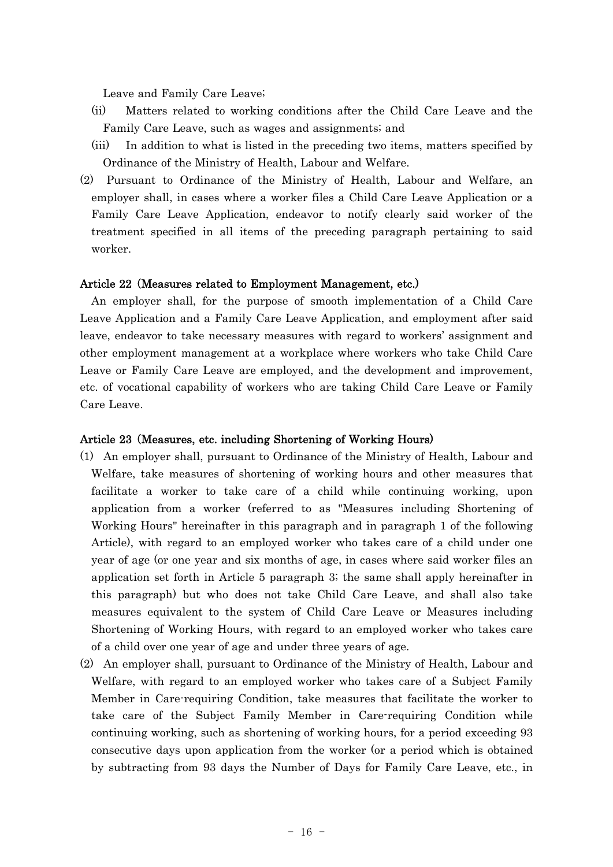Leave and Family Care Leave;

- (ii) Matters related to working conditions after the Child Care Leave and the Family Care Leave, such as wages and assignments; and
- (iii) In addition to what is listed in the preceding two items, matters specified by Ordinance of the Ministry of Health, Labour and Welfare.
- (2) Pursuant to Ordinance of the Ministry of Health, Labour and Welfare, an employer shall, in cases where a worker files a Child Care Leave Application or a Family Care Leave Application, endeavor to notify clearly said worker of the treatment specified in all items of the preceding paragraph pertaining to said worker.

#### Article 22 (Measures related to Employment Management, etc.)

An employer shall, for the purpose of smooth implementation of a Child Care Leave Application and a Family Care Leave Application, and employment after said leave, endeavor to take necessary measures with regard to workers' assignment and other employment management at a workplace where workers who take Child Care Leave or Family Care Leave are employed, and the development and improvement, etc. of vocational capability of workers who are taking Child Care Leave or Family Care Leave.

#### Article 23 Measures, etc. including Shortening of Working Hours) (

- (1) An employer shall, pursuant to Ordinance of the Ministry of Health, Labour and Welfare, take measures of shortening of working hours and other measures that facilitate a worker to take care of a child while continuing working, upon application from a worker (referred to as "Measures including Shortening of Working Hours" hereinafter in this paragraph and in paragraph 1 of the following Article), with regard to an employed worker who takes care of a child under one year of age (or one year and six months of age, in cases where said worker files an application set forth in Article 5 paragraph 3; the same shall apply hereinafter in this paragraph) but who does not take Child Care Leave, and shall also take measures equivalent to the system of Child Care Leave or Measures including Shortening of Working Hours, with regard to an employed worker who takes care of a child over one year of age and under three years of age.
- (2) An employer shall, pursuant to Ordinance of the Ministry of Health, Labour and Welfare, with regard to an employed worker who takes care of a Subject Family Member in Care-requiring Condition, take measures that facilitate the worker to take care of the Subject Family Member in Care-requiring Condition while continuing working, such as shortening of working hours, for a period exceeding 93 consecutive days upon application from the worker (or a period which is obtained by subtracting from 93 days the Number of Days for Family Care Leave, etc., in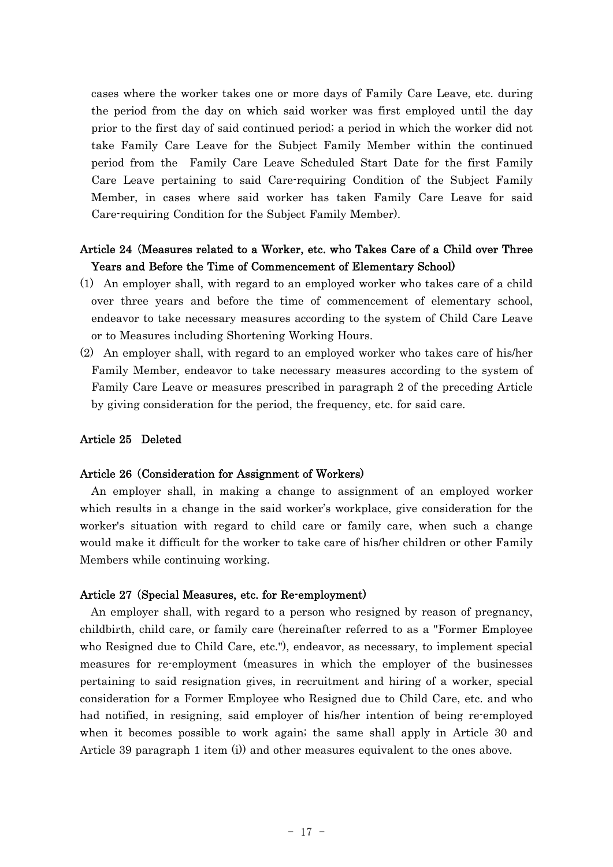cases where the worker takes one or more days of Family Care Leave, etc. during the period from the day on which said worker was first employed until the day prior to the first day of said continued period; a period in which the worker did not take Family Care Leave for the Subject Family Member within the continued period from the Family Care Leave Scheduled Start Date for the first Family Care Leave pertaining to said Care-requiring Condition of the Subject Family Member, in cases where said worker has taken Family Care Leave for said Care-requiring Condition for the Subject Family Member).

## Article 24 Measures related to a Worker, etc. who Takes Care of a Child over Three ( Years and Before the Time of Commencement of Elementary School)

- (1) An employer shall, with regard to an employed worker who takes care of a child over three years and before the time of commencement of elementary school, endeavor to take necessary measures according to the system of Child Care Leave or to Measures including Shortening Working Hours.
- (2) An employer shall, with regard to an employed worker who takes care of his/her Family Member, endeavor to take necessary measures according to the system of Family Care Leave or measures prescribed in paragraph 2 of the preceding Article by giving consideration for the period, the frequency, etc. for said care.

#### Article 25 Deleted

#### Article 26 Consideration for Assignment of Workers) (

An employer shall, in making a change to assignment of an employed worker which results in a change in the said worker's workplace, give consideration for the worker's situation with regard to child care or family care, when such a change would make it difficult for the worker to take care of his/her children or other Family Members while continuing working.

#### Article 27 (Special Measures, etc. for Re-employment)

An employer shall, with regard to a person who resigned by reason of pregnancy, childbirth, child care, or family care (hereinafter referred to as a "Former Employee who Resigned due to Child Care, etc."), endeavor, as necessary, to implement special measures for re-employment (measures in which the employer of the businesses pertaining to said resignation gives, in recruitment and hiring of a worker, special consideration for a Former Employee who Resigned due to Child Care, etc. and who had notified, in resigning, said employer of his/her intention of being re-employed when it becomes possible to work again; the same shall apply in Article 30 and Article 39 paragraph 1 item (i)) and other measures equivalent to the ones above.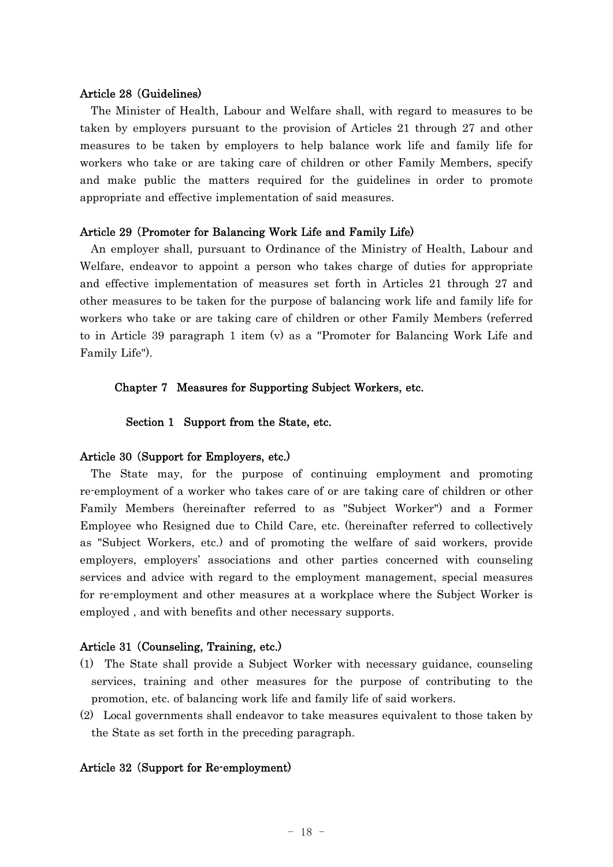#### Article 28 Guidelines) (

The Minister of Health, Labour and Welfare shall, with regard to measures to be taken by employers pursuant to the provision of Articles 21 through 27 and other measures to be taken by employers to help balance work life and family life for workers who take or are taking care of children or other Family Members, specify and make public the matters required for the guidelines in order to promote appropriate and effective implementation of said measures.

## Article 29 (Promoter for Balancing Work Life and Family Life)

An employer shall, pursuant to Ordinance of the Ministry of Health, Labour and Welfare, endeavor to appoint a person who takes charge of duties for appropriate and effective implementation of measures set forth in Articles 21 through 27 and other measures to be taken for the purpose of balancing work life and family life for workers who take or are taking care of children or other Family Members (referred to in Article 39 paragraph 1 item (v) as a "Promoter for Balancing Work Life and Family Life").

## Chapter 7 Measures for Supporting Subject Workers, etc.

Section 1 Support from the State, etc.

#### Article 30 (Support for Employers, etc.)

The State may, for the purpose of continuing employment and promoting re-employment of a worker who takes care of or are taking care of children or other Family Members (hereinafter referred to as "Subject Worker") and a Former Employee who Resigned due to Child Care, etc. (hereinafter referred to collectively as "Subject Workers, etc.) and of promoting the welfare of said workers, provide employers, employers' associations and other parties concerned with counseling services and advice with regard to the employment management, special measures for re-employment and other measures at a workplace where the Subject Worker is employed , and with benefits and other necessary supports.

#### Article 31 Counseling, Training, etc.) (

- (1) The State shall provide a Subject Worker with necessary guidance, counseling services, training and other measures for the purpose of contributing to the promotion, etc. of balancing work life and family life of said workers.
- (2) Local governments shall endeavor to take measures equivalent to those taken by the State as set forth in the preceding paragraph.

#### Article 32 (Support for Re-employment)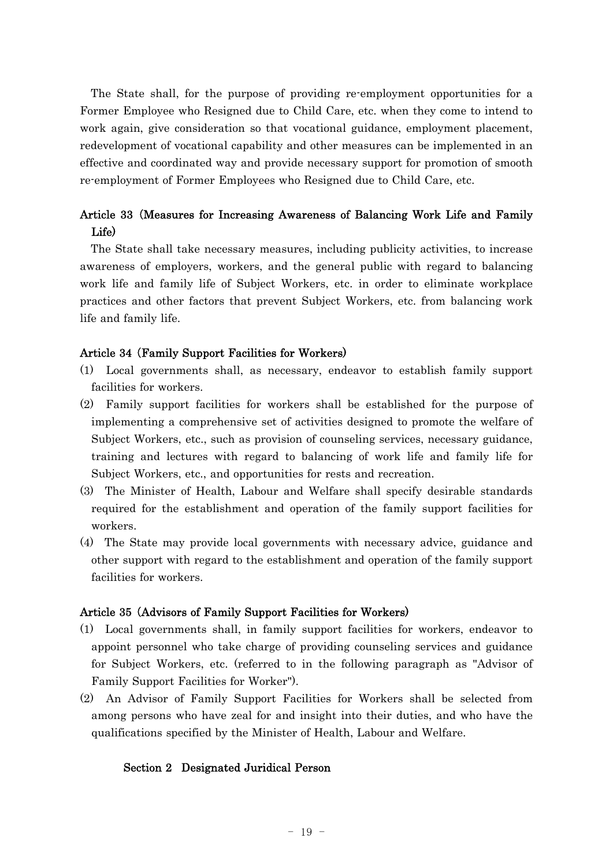The State shall, for the purpose of providing re-employment opportunities for a Former Employee who Resigned due to Child Care, etc. when they come to intend to work again, give consideration so that vocational guidance, employment placement, redevelopment of vocational capability and other measures can be implemented in an effective and coordinated way and provide necessary support for promotion of smooth re-employment of Former Employees who Resigned due to Child Care, etc.

## Article 33 (Measures for Increasing Awareness of Balancing Work Life and Family Life)

The State shall take necessary measures, including publicity activities, to increase awareness of employers, workers, and the general public with regard to balancing work life and family life of Subject Workers, etc. in order to eliminate workplace practices and other factors that prevent Subject Workers, etc. from balancing work life and family life.

## Article 34 (Family Support Facilities for Workers)

- (1) Local governments shall, as necessary, endeavor to establish family support facilities for workers.
- (2) Family support facilities for workers shall be established for the purpose of implementing a comprehensive set of activities designed to promote the welfare of Subject Workers, etc., such as provision of counseling services, necessary guidance, training and lectures with regard to balancing of work life and family life for Subject Workers, etc., and opportunities for rests and recreation.
- (3) The Minister of Health, Labour and Welfare shall specify desirable standards required for the establishment and operation of the family support facilities for workers.
- (4) The State may provide local governments with necessary advice, guidance and other support with regard to the establishment and operation of the family support facilities for workers.

## Article 35 (Advisors of Family Support Facilities for Workers)

- (1) Local governments shall, in family support facilities for workers, endeavor to appoint personnel who take charge of providing counseling services and guidance for Subject Workers, etc. (referred to in the following paragraph as "Advisor of Family Support Facilities for Worker").
- (2) An Advisor of Family Support Facilities for Workers shall be selected from among persons who have zeal for and insight into their duties, and who have the qualifications specified by the Minister of Health, Labour and Welfare.

#### Section 2 Designated Juridical Person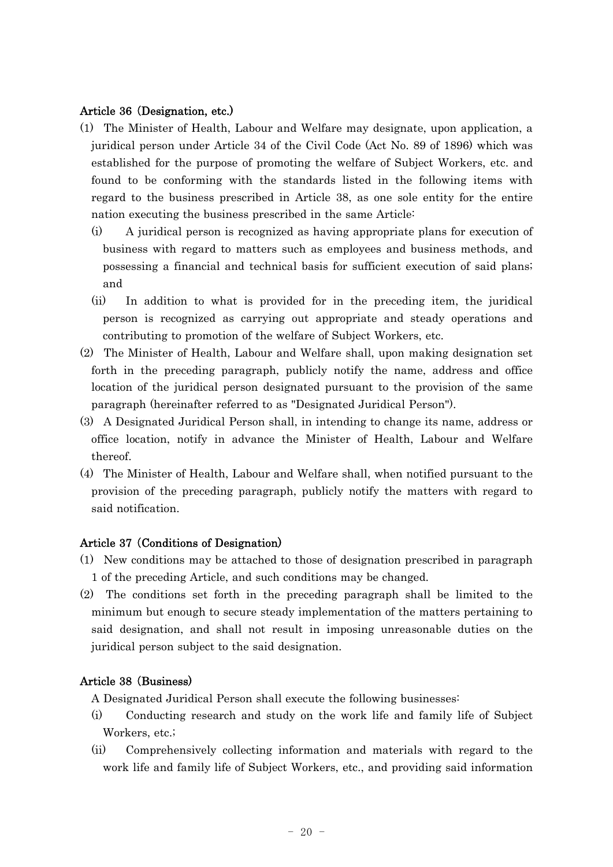## Article 36 (Designation, etc.)

- (1) The Minister of Health, Labour and Welfare may designate, upon application, a juridical person under Article 34 of the Civil Code (Act No. 89 of 1896) which was established for the purpose of promoting the welfare of Subject Workers, etc. and found to be conforming with the standards listed in the following items with regard to the business prescribed in Article 38, as one sole entity for the entire nation executing the business prescribed in the same Article:
	- (i) A juridical person is recognized as having appropriate plans for execution of business with regard to matters such as employees and business methods, and possessing a financial and technical basis for sufficient execution of said plans; and
	- (ii) In addition to what is provided for in the preceding item, the juridical person is recognized as carrying out appropriate and steady operations and contributing to promotion of the welfare of Subject Workers, etc.
- (2) The Minister of Health, Labour and Welfare shall, upon making designation set forth in the preceding paragraph, publicly notify the name, address and office location of the juridical person designated pursuant to the provision of the same paragraph (hereinafter referred to as "Designated Juridical Person").
- (3) A Designated Juridical Person shall, in intending to change its name, address or office location, notify in advance the Minister of Health, Labour and Welfare thereof.
- (4) The Minister of Health, Labour and Welfare shall, when notified pursuant to the provision of the preceding paragraph, publicly notify the matters with regard to said notification.

## Article 37 (Conditions of Designation)

- (1) New conditions may be attached to those of designation prescribed in paragraph 1 of the preceding Article, and such conditions may be changed.
- (2) The conditions set forth in the preceding paragraph shall be limited to the minimum but enough to secure steady implementation of the matters pertaining to said designation, and shall not result in imposing unreasonable duties on the juridical person subject to the said designation.

## Article 38 (Business)

A Designated Juridical Person shall execute the following businesses:

- (i) Conducting research and study on the work life and family life of Subject Workers, etc.;
- (ii) Comprehensively collecting information and materials with regard to the work life and family life of Subject Workers, etc., and providing said information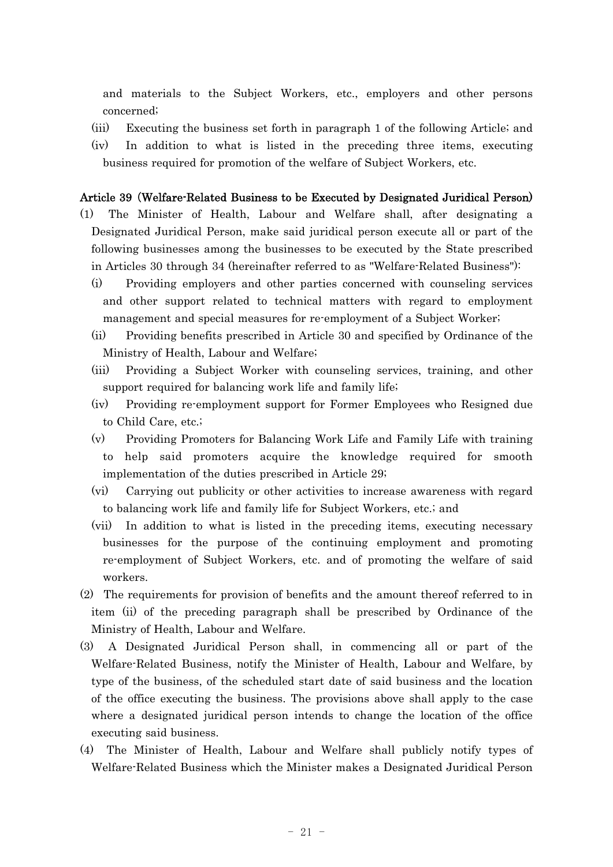and materials to the Subject Workers, etc., employers and other persons concerned;

- (iii) Executing the business set forth in paragraph 1 of the following Article; and
- (iv) In addition to what is listed in the preceding three items, executing business required for promotion of the welfare of Subject Workers, etc.

## Article 39 (Welfare-Related Business to be Executed by Designated Juridical Person)

- (1) The Minister of Health, Labour and Welfare shall, after designating a Designated Juridical Person, make said juridical person execute all or part of the following businesses among the businesses to be executed by the State prescribed in Articles 30 through 34 (hereinafter referred to as "Welfare-Related Business"):
	- (i) Providing employers and other parties concerned with counseling services and other support related to technical matters with regard to employment management and special measures for re-employment of a Subject Worker;
	- (ii) Providing benefits prescribed in Article 30 and specified by Ordinance of the Ministry of Health, Labour and Welfare;
	- (iii) Providing a Subject Worker with counseling services, training, and other support required for balancing work life and family life;
	- (iv) Providing re-employment support for Former Employees who Resigned due to Child Care, etc.;
	- (v) Providing Promoters for Balancing Work Life and Family Life with training to help said promoters acquire the knowledge required for smooth implementation of the duties prescribed in Article 29;
	- (vi) Carrying out publicity or other activities to increase awareness with regard to balancing work life and family life for Subject Workers, etc.; and
	- (vii) In addition to what is listed in the preceding items, executing necessary businesses for the purpose of the continuing employment and promoting re-employment of Subject Workers, etc. and of promoting the welfare of said workers.
- (2) The requirements for provision of benefits and the amount thereof referred to in item (ii) of the preceding paragraph shall be prescribed by Ordinance of the Ministry of Health, Labour and Welfare.
- (3) A Designated Juridical Person shall, in commencing all or part of the Welfare-Related Business, notify the Minister of Health, Labour and Welfare, by type of the business, of the scheduled start date of said business and the location of the office executing the business. The provisions above shall apply to the case where a designated juridical person intends to change the location of the office executing said business.
- (4) The Minister of Health, Labour and Welfare shall publicly notify types of Welfare-Related Business which the Minister makes a Designated Juridical Person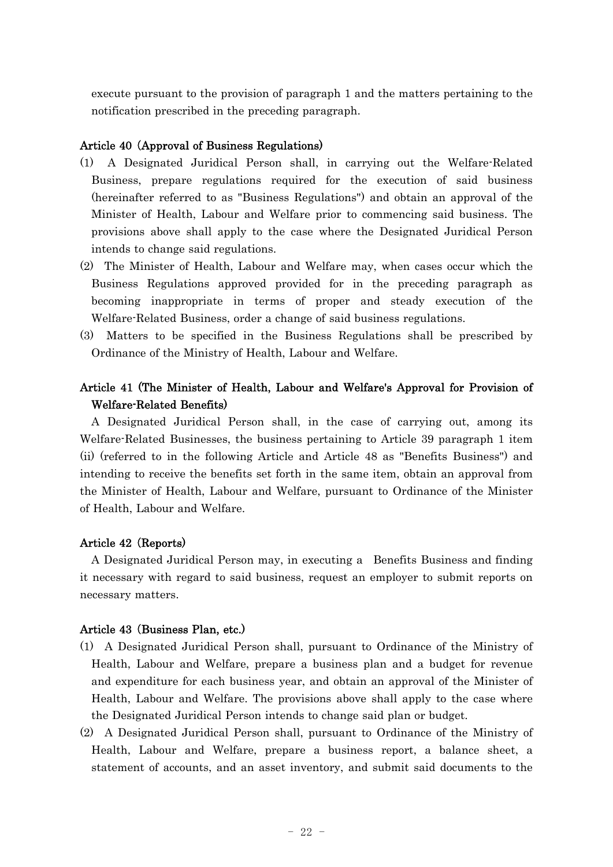execute pursuant to the provision of paragraph 1 and the matters pertaining to the notification prescribed in the preceding paragraph.

## Article 40 (Approval of Business Regulations)

- (1) A Designated Juridical Person shall, in carrying out the Welfare-Related Business, prepare regulations required for the execution of said business (hereinafter referred to as "Business Regulations") and obtain an approval of the Minister of Health, Labour and Welfare prior to commencing said business. The provisions above shall apply to the case where the Designated Juridical Person intends to change said regulations.
- (2) The Minister of Health, Labour and Welfare may, when cases occur which the Business Regulations approved provided for in the preceding paragraph as becoming inappropriate in terms of proper and steady execution of the Welfare-Related Business, order a change of said business regulations.
- (3) Matters to be specified in the Business Regulations shall be prescribed by Ordinance of the Ministry of Health, Labour and Welfare.

## Article 41 (The Minister of Health, Labour and Welfare's Approval for Provision of Welfare-Related Benefits)

A Designated Juridical Person shall, in the case of carrying out, among its Welfare-Related Businesses, the business pertaining to Article 39 paragraph 1 item (ii) (referred to in the following Article and Article 48 as "Benefits Business") and intending to receive the benefits set forth in the same item, obtain an approval from the Minister of Health, Labour and Welfare, pursuant to Ordinance of the Minister of Health, Labour and Welfare.

## Article 42 (Reports)

A Designated Juridical Person may, in executing a Benefits Business and finding it necessary with regard to said business, request an employer to submit reports on necessary matters.

#### Article 43 (Business Plan, etc.)

- (1) A Designated Juridical Person shall, pursuant to Ordinance of the Ministry of Health, Labour and Welfare, prepare a business plan and a budget for revenue and expenditure for each business year, and obtain an approval of the Minister of Health, Labour and Welfare. The provisions above shall apply to the case where the Designated Juridical Person intends to change said plan or budget.
- (2) A Designated Juridical Person shall, pursuant to Ordinance of the Ministry of Health, Labour and Welfare, prepare a business report, a balance sheet, a statement of accounts, and an asset inventory, and submit said documents to the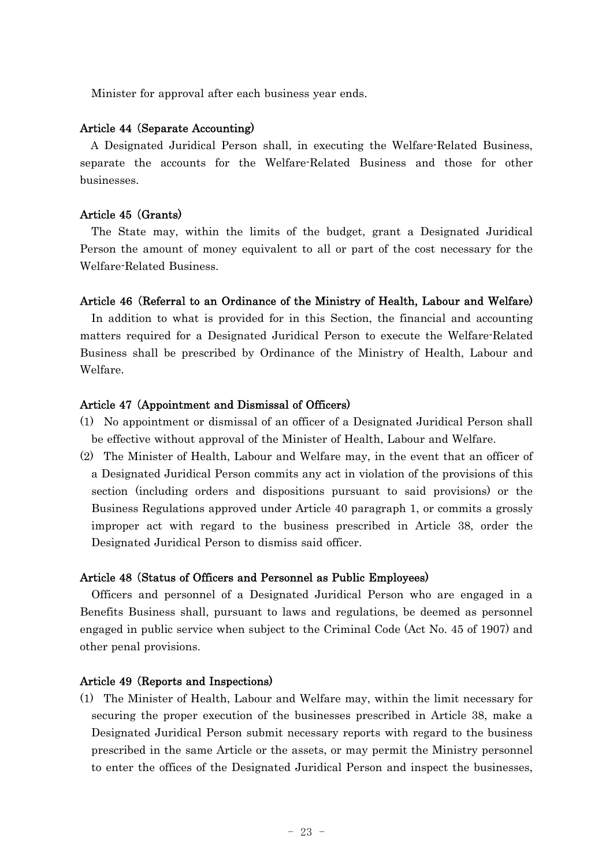Minister for approval after each business year ends.

#### Article 44 (Separate Accounting)

A Designated Juridical Person shall, in executing the Welfare-Related Business, separate the accounts for the Welfare-Related Business and those for other businesses.

#### Article 45 (Grants)

The State may, within the limits of the budget, grant a Designated Juridical Person the amount of money equivalent to all or part of the cost necessary for the Welfare-Related Business.

### Article 46 (Referral to an Ordinance of the Ministry of Health, Labour and Welfare)

In addition to what is provided for in this Section, the financial and accounting matters required for a Designated Juridical Person to execute the Welfare-Related Business shall be prescribed by Ordinance of the Ministry of Health, Labour and Welfare.

#### Article 47 (Appointment and Dismissal of Officers)

- (1) No appointment or dismissal of an officer of a Designated Juridical Person shall be effective without approval of the Minister of Health, Labour and Welfare.
- (2) The Minister of Health, Labour and Welfare may, in the event that an officer of a Designated Juridical Person commits any act in violation of the provisions of this section (including orders and dispositions pursuant to said provisions) or the Business Regulations approved under Article 40 paragraph 1, or commits a grossly improper act with regard to the business prescribed in Article 38, order the Designated Juridical Person to dismiss said officer.

#### Article 48 (Status of Officers and Personnel as Public Employees)

Officers and personnel of a Designated Juridical Person who are engaged in a Benefits Business shall, pursuant to laws and regulations, be deemed as personnel engaged in public service when subject to the Criminal Code (Act No. 45 of 1907) and other penal provisions.

#### Article 49 (Reports and Inspections)

(1) The Minister of Health, Labour and Welfare may, within the limit necessary for securing the proper execution of the businesses prescribed in Article 38, make a Designated Juridical Person submit necessary reports with regard to the business prescribed in the same Article or the assets, or may permit the Ministry personnel to enter the offices of the Designated Juridical Person and inspect the businesses,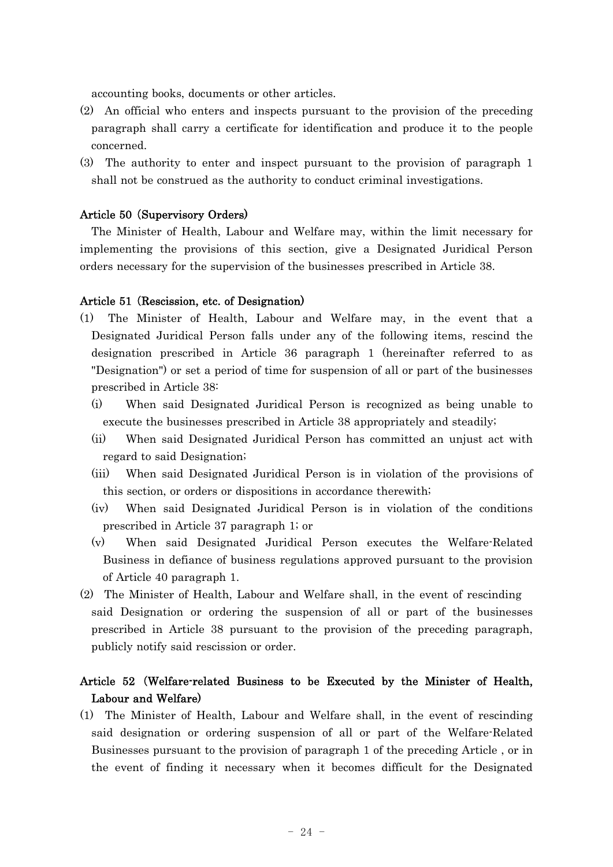accounting books, documents or other articles.

- (2) An official who enters and inspects pursuant to the provision of the preceding paragraph shall carry a certificate for identification and produce it to the people concerned.
- (3) The authority to enter and inspect pursuant to the provision of paragraph 1 shall not be construed as the authority to conduct criminal investigations.

#### Article 50 (Supervisory Orders)

The Minister of Health, Labour and Welfare may, within the limit necessary for implementing the provisions of this section, give a Designated Juridical Person orders necessary for the supervision of the businesses prescribed in Article 38.

#### Article 51 (Rescission, etc. of Designation)

- (1) The Minister of Health, Labour and Welfare may, in the event that a Designated Juridical Person falls under any of the following items, rescind the designation prescribed in Article 36 paragraph 1 (hereinafter referred to as "Designation") or set a period of time for suspension of all or part of the businesses prescribed in Article 38:
	- (i) When said Designated Juridical Person is recognized as being unable to execute the businesses prescribed in Article 38 appropriately and steadily;
	- (ii) When said Designated Juridical Person has committed an unjust act with regard to said Designation;
	- (iii) When said Designated Juridical Person is in violation of the provisions of this section, or orders or dispositions in accordance therewith;
	- (iv) When said Designated Juridical Person is in violation of the conditions prescribed in Article 37 paragraph 1; or
	- (v) When said Designated Juridical Person executes the Welfare-Related Business in defiance of business regulations approved pursuant to the provision of Article 40 paragraph 1.
- (2) The Minister of Health, Labour and Welfare shall, in the event of rescinding said Designation or ordering the suspension of all or part of the businesses prescribed in Article 38 pursuant to the provision of the preceding paragraph, publicly notify said rescission or order.

## Article 52 Welfare-related Business to be Executed by the Minister of Health, ( Labour and Welfare)

(1) The Minister of Health, Labour and Welfare shall, in the event of rescinding said designation or ordering suspension of all or part of the Welfare-Related Businesses pursuant to the provision of paragraph 1 of the preceding Article , or in the event of finding it necessary when it becomes difficult for the Designated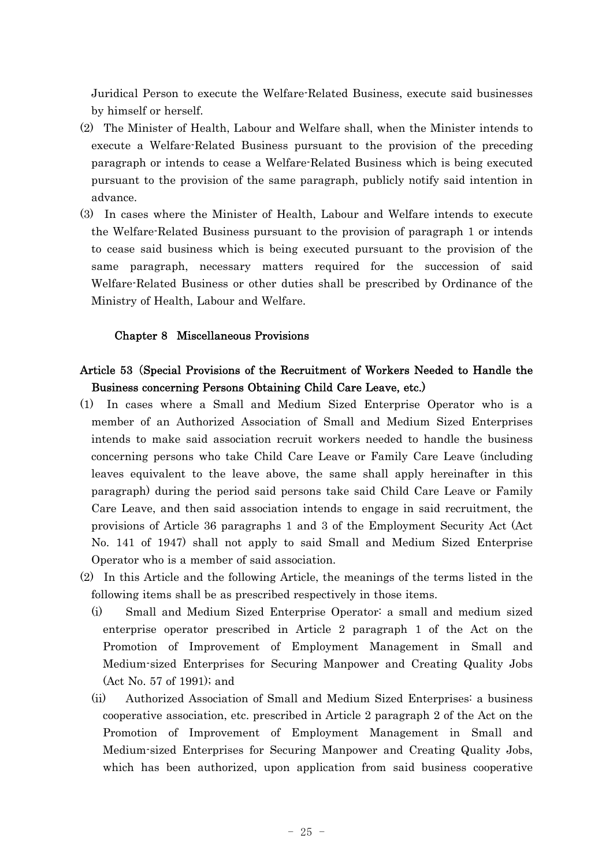Juridical Person to execute the Welfare-Related Business, execute said businesses by himself or herself.

- (2) The Minister of Health, Labour and Welfare shall, when the Minister intends to execute a Welfare-Related Business pursuant to the provision of the preceding paragraph or intends to cease a Welfare-Related Business which is being executed pursuant to the provision of the same paragraph, publicly notify said intention in advance.
- (3) In cases where the Minister of Health, Labour and Welfare intends to execute the Welfare-Related Business pursuant to the provision of paragraph 1 or intends to cease said business which is being executed pursuant to the provision of the same paragraph, necessary matters required for the succession of said Welfare-Related Business or other duties shall be prescribed by Ordinance of the Ministry of Health, Labour and Welfare.

## Chapter 8 Miscellaneous Provisions

## Article 53 (Special Provisions of the Recruitment of Workers Needed to Handle the Business concerning Persons Obtaining Child Care Leave, etc.)

- (1) In cases where a Small and Medium Sized Enterprise Operator who is a member of an Authorized Association of Small and Medium Sized Enterprises intends to make said association recruit workers needed to handle the business concerning persons who take Child Care Leave or Family Care Leave (including leaves equivalent to the leave above, the same shall apply hereinafter in this paragraph) during the period said persons take said Child Care Leave or Family Care Leave, and then said association intends to engage in said recruitment, the provisions of Article 36 paragraphs 1 and 3 of the Employment Security Act (Act No. 141 of 1947) shall not apply to said Small and Medium Sized Enterprise Operator who is a member of said association.
- (2) In this Article and the following Article, the meanings of the terms listed in the following items shall be as prescribed respectively in those items.
	- (i) Small and Medium Sized Enterprise Operator: a small and medium sized enterprise operator prescribed in Article 2 paragraph 1 of the Act on the Promotion of Improvement of Employment Management in Small and Medium-sized Enterprises for Securing Manpower and Creating Quality Jobs (Act No. 57 of 1991); and
	- (ii) Authorized Association of Small and Medium Sized Enterprises: a business cooperative association, etc. prescribed in Article 2 paragraph 2 of the Act on the Promotion of Improvement of Employment Management in Small and Medium-sized Enterprises for Securing Manpower and Creating Quality Jobs, which has been authorized, upon application from said business cooperative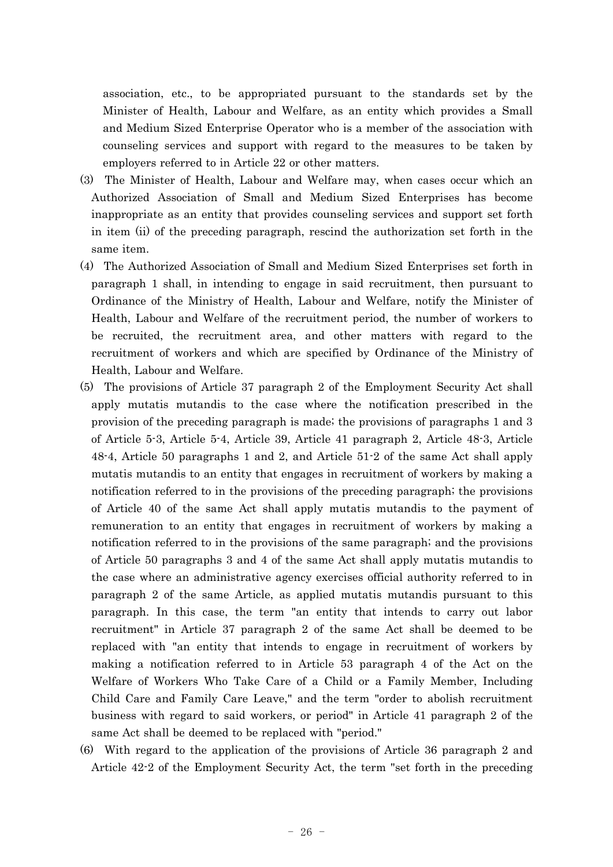association, etc., to be appropriated pursuant to the standards set by the Minister of Health, Labour and Welfare, as an entity which provides a Small and Medium Sized Enterprise Operator who is a member of the association with counseling services and support with regard to the measures to be taken by employers referred to in Article 22 or other matters.

- (3) The Minister of Health, Labour and Welfare may, when cases occur which an Authorized Association of Small and Medium Sized Enterprises has become inappropriate as an entity that provides counseling services and support set forth in item (ii) of the preceding paragraph, rescind the authorization set forth in the same item.
- (4) The Authorized Association of Small and Medium Sized Enterprises set forth in paragraph 1 shall, in intending to engage in said recruitment, then pursuant to Ordinance of the Ministry of Health, Labour and Welfare, notify the Minister of Health, Labour and Welfare of the recruitment period, the number of workers to be recruited, the recruitment area, and other matters with regard to the recruitment of workers and which are specified by Ordinance of the Ministry of Health, Labour and Welfare.
- (5) The provisions of Article 37 paragraph 2 of the Employment Security Act shall apply mutatis mutandis to the case where the notification prescribed in the provision of the preceding paragraph is made; the provisions of paragraphs 1 and 3 of Article 5-3, Article 5-4, Article 39, Article 41 paragraph 2, Article 48-3, Article 48-4, Article 50 paragraphs 1 and 2, and Article 51-2 of the same Act shall apply mutatis mutandis to an entity that engages in recruitment of workers by making a notification referred to in the provisions of the preceding paragraph; the provisions of Article 40 of the same Act shall apply mutatis mutandis to the payment of remuneration to an entity that engages in recruitment of workers by making a notification referred to in the provisions of the same paragraph; and the provisions of Article 50 paragraphs 3 and 4 of the same Act shall apply mutatis mutandis to the case where an administrative agency exercises official authority referred to in paragraph 2 of the same Article, as applied mutatis mutandis pursuant to this paragraph. In this case, the term "an entity that intends to carry out labor recruitment" in Article 37 paragraph 2 of the same Act shall be deemed to be replaced with "an entity that intends to engage in recruitment of workers by making a notification referred to in Article 53 paragraph 4 of the Act on the Welfare of Workers Who Take Care of a Child or a Family Member, Including Child Care and Family Care Leave," and the term "order to abolish recruitment business with regard to said workers, or period" in Article 41 paragraph 2 of the same Act shall be deemed to be replaced with "period."
- (6) With regard to the application of the provisions of Article 36 paragraph 2 and Article 42-2 of the Employment Security Act, the term "set forth in the preceding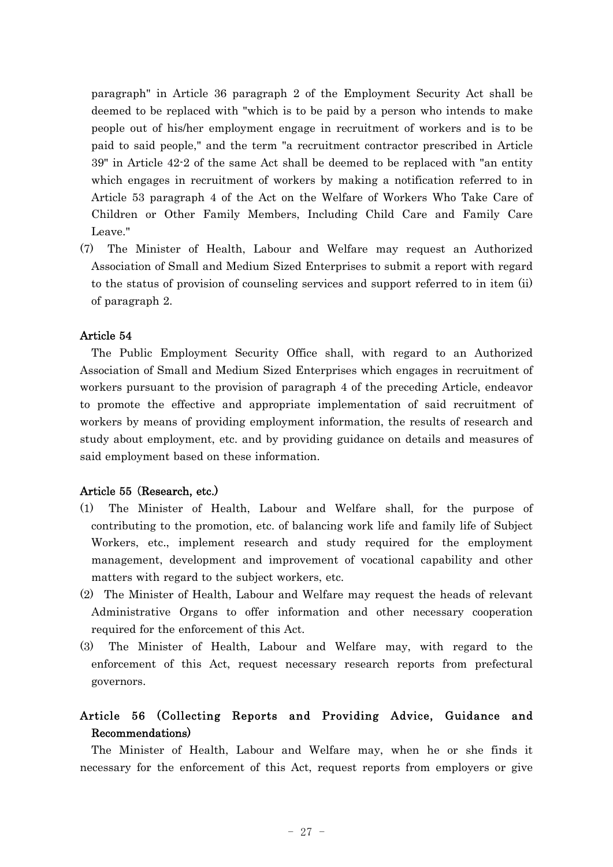paragraph" in Article 36 paragraph 2 of the Employment Security Act shall be deemed to be replaced with "which is to be paid by a person who intends to make people out of his/her employment engage in recruitment of workers and is to be paid to said people," and the term "a recruitment contractor prescribed in Article 39" in Article 42-2 of the same Act shall be deemed to be replaced with "an entity which engages in recruitment of workers by making a notification referred to in Article 53 paragraph 4 of the Act on the Welfare of Workers Who Take Care of Children or Other Family Members, Including Child Care and Family Care Leave."

(7) The Minister of Health, Labour and Welfare may request an Authorized Association of Small and Medium Sized Enterprises to submit a report with regard to the status of provision of counseling services and support referred to in item (ii) of paragraph 2.

## Article 54

The Public Employment Security Office shall, with regard to an Authorized Association of Small and Medium Sized Enterprises which engages in recruitment of workers pursuant to the provision of paragraph 4 of the preceding Article, endeavor to promote the effective and appropriate implementation of said recruitment of workers by means of providing employment information, the results of research and study about employment, etc. and by providing guidance on details and measures of said employment based on these information.

#### Article 55 (Research, etc.)

- (1) The Minister of Health, Labour and Welfare shall, for the purpose of contributing to the promotion, etc. of balancing work life and family life of Subject Workers, etc., implement research and study required for the employment management, development and improvement of vocational capability and other matters with regard to the subject workers, etc.
- (2) The Minister of Health, Labour and Welfare may request the heads of relevant Administrative Organs to offer information and other necessary cooperation required for the enforcement of this Act.
- (3) The Minister of Health, Labour and Welfare may, with regard to the enforcement of this Act, request necessary research reports from prefectural governors.

## Article 56 (Collecting Reports and Providing Advice, Guidance and Recommendations)

The Minister of Health, Labour and Welfare may, when he or she finds it necessary for the enforcement of this Act, request reports from employers or give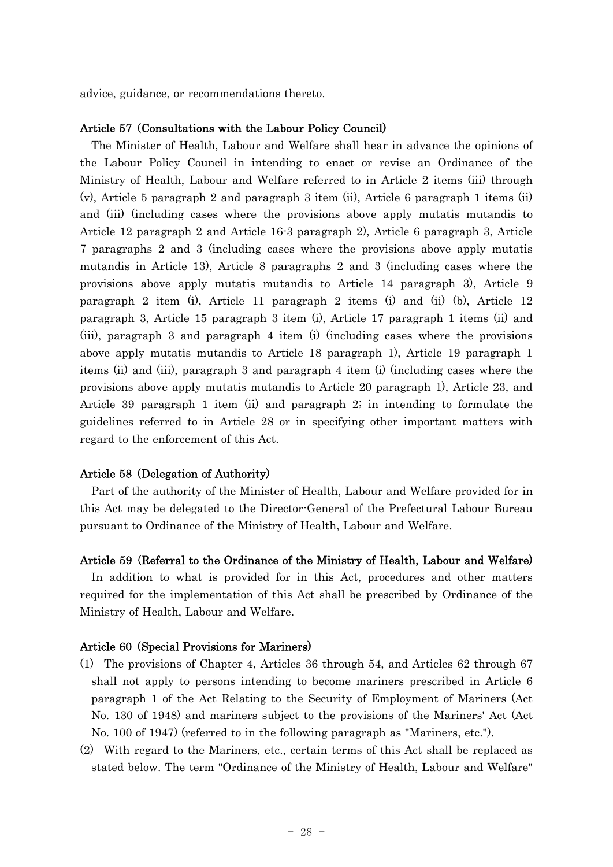advice, guidance, or recommendations thereto.

#### Article 57 Consultations with the Labour Policy Council) (

The Minister of Health, Labour and Welfare shall hear in advance the opinions of the Labour Policy Council in intending to enact or revise an Ordinance of the Ministry of Health, Labour and Welfare referred to in Article 2 items (iii) through (v), Article 5 paragraph 2 and paragraph 3 item (ii), Article 6 paragraph 1 items (ii) and (iii) (including cases where the provisions above apply mutatis mutandis to Article 12 paragraph 2 and Article 16-3 paragraph 2), Article 6 paragraph 3, Article 7 paragraphs 2 and 3 (including cases where the provisions above apply mutatis mutandis in Article 13), Article 8 paragraphs 2 and 3 (including cases where the provisions above apply mutatis mutandis to Article 14 paragraph 3), Article 9 paragraph 2 item (i), Article 11 paragraph 2 items (i) and (ii) (b), Article 12 paragraph 3, Article 15 paragraph 3 item (i), Article 17 paragraph 1 items (ii) and (iii), paragraph 3 and paragraph 4 item (i) (including cases where the provisions above apply mutatis mutandis to Article 18 paragraph 1), Article 19 paragraph 1 items (ii) and (iii), paragraph 3 and paragraph 4 item (i) (including cases where the provisions above apply mutatis mutandis to Article 20 paragraph 1), Article 23, and Article 39 paragraph 1 item (ii) and paragraph 2; in intending to formulate the guidelines referred to in Article 28 or in specifying other important matters with regard to the enforcement of this Act.

#### Article 58 (Delegation of Authority)

Part of the authority of the Minister of Health, Labour and Welfare provided for in this Act may be delegated to the Director-General of the Prefectural Labour Bureau pursuant to Ordinance of the Ministry of Health, Labour and Welfare.

#### Article 59 (Referral to the Ordinance of the Ministry of Health, Labour and Welfare)

In addition to what is provided for in this Act, procedures and other matters required for the implementation of this Act shall be prescribed by Ordinance of the Ministry of Health, Labour and Welfare.

## Article 60 (Special Provisions for Mariners)

- (1) The provisions of Chapter 4, Articles 36 through 54, and Articles 62 through 67 shall not apply to persons intending to become mariners prescribed in Article 6 paragraph 1 of the Act Relating to the Security of Employment of Mariners (Act No. 130 of 1948) and mariners subject to the provisions of the Mariners' Act (Act No. 100 of 1947) (referred to in the following paragraph as "Mariners, etc.").
- (2) With regard to the Mariners, etc., certain terms of this Act shall be replaced as stated below. The term "Ordinance of the Ministry of Health, Labour and Welfare"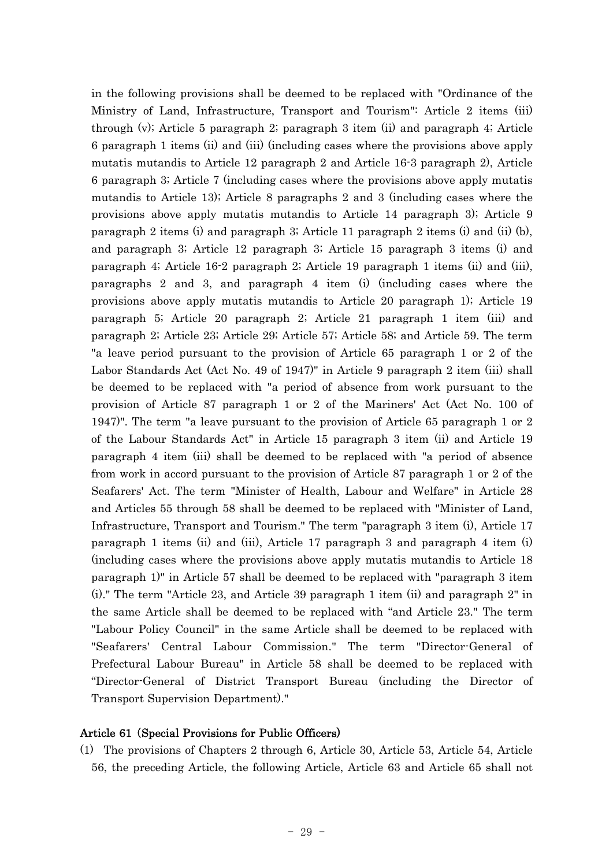in the following provisions shall be deemed to be replaced with "Ordinance of the Ministry of Land, Infrastructure, Transport and Tourism": Article 2 items (iii) through (v); Article 5 paragraph 2; paragraph 3 item (ii) and paragraph 4; Article 6 paragraph 1 items (ii) and (iii) (including cases where the provisions above apply mutatis mutandis to Article 12 paragraph 2 and Article 16-3 paragraph 2), Article 6 paragraph 3; Article 7 (including cases where the provisions above apply mutatis mutandis to Article 13); Article 8 paragraphs 2 and 3 (including cases where the provisions above apply mutatis mutandis to Article 14 paragraph 3); Article 9 paragraph 2 items (i) and paragraph 3; Article 11 paragraph 2 items (i) and (ii) (b), and paragraph 3; Article 12 paragraph 3; Article 15 paragraph 3 items (i) and paragraph 4; Article 16-2 paragraph 2; Article 19 paragraph 1 items (ii) and (iii), paragraphs 2 and 3, and paragraph 4 item (i) (including cases where the provisions above apply mutatis mutandis to Article 20 paragraph 1); Article 19 paragraph 5; Article 20 paragraph 2; Article 21 paragraph 1 item (iii) and paragraph 2; Article 23; Article 29; Article 57; Article 58; and Article 59. The term "a leave period pursuant to the provision of Article 65 paragraph 1 or 2 of the Labor Standards Act (Act No. 49 of 1947)" in Article 9 paragraph 2 item (iii) shall be deemed to be replaced with "a period of absence from work pursuant to the provision of Article 87 paragraph 1 or 2 of the Mariners' Act (Act No. 100 of 1947)". The term "a leave pursuant to the provision of Article 65 paragraph 1 or 2 of the Labour Standards Act" in Article 15 paragraph 3 item (ii) and Article 19 paragraph 4 item (iii) shall be deemed to be replaced with "a period of absence from work in accord pursuant to the provision of Article 87 paragraph 1 or 2 of the Seafarers' Act. The term "Minister of Health, Labour and Welfare" in Article 28 and Articles 55 through 58 shall be deemed to be replaced with "Minister of Land, Infrastructure, Transport and Tourism." The term "paragraph 3 item (i), Article 17 paragraph 1 items (ii) and (iii), Article 17 paragraph 3 and paragraph 4 item (i) (including cases where the provisions above apply mutatis mutandis to Article 18 paragraph 1)" in Article 57 shall be deemed to be replaced with "paragraph 3 item (i)." The term "Article 23, and Article 39 paragraph 1 item (ii) and paragraph 2" in the same Article shall be deemed to be replaced with "and Article 23." The term "Labour Policy Council" in the same Article shall be deemed to be replaced with "Seafarers' Central Labour Commission." The term "Director-General of Prefectural Labour Bureau" in Article 58 shall be deemed to be replaced with "Director-General of District Transport Bureau (including the Director of Transport Supervision Department)."

## Article 61 (Special Provisions for Public Officers)

(1) The provisions of Chapters 2 through 6, Article 30, Article 53, Article 54, Article 56, the preceding Article, the following Article, Article 63 and Article 65 shall not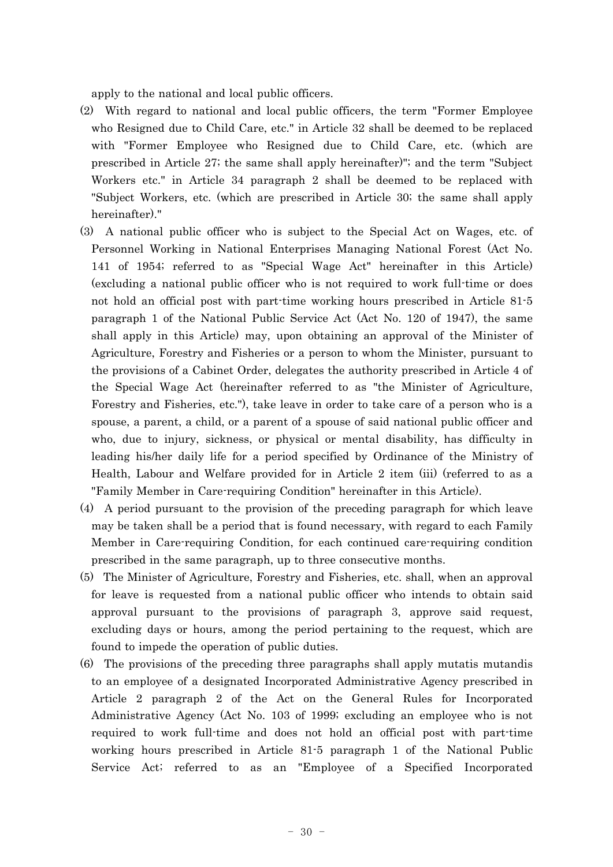apply to the national and local public officers.

- (2) With regard to national and local public officers, the term "Former Employee who Resigned due to Child Care, etc." in Article 32 shall be deemed to be replaced with "Former Employee who Resigned due to Child Care, etc. (which are prescribed in Article 27; the same shall apply hereinafter)"; and the term "Subject Workers etc." in Article 34 paragraph 2 shall be deemed to be replaced with "Subject Workers, etc. (which are prescribed in Article 30; the same shall apply hereinafter)."
- (3) A national public officer who is subject to the Special Act on Wages, etc. of Personnel Working in National Enterprises Managing National Forest (Act No. 141 of 1954; referred to as "Special Wage Act" hereinafter in this Article) (excluding a national public officer who is not required to work full-time or does not hold an official post with part-time working hours prescribed in Article 81-5 paragraph 1 of the National Public Service Act (Act No. 120 of 1947), the same shall apply in this Article) may, upon obtaining an approval of the Minister of Agriculture, Forestry and Fisheries or a person to whom the Minister, pursuant to the provisions of a Cabinet Order, delegates the authority prescribed in Article 4 of the Special Wage Act (hereinafter referred to as "the Minister of Agriculture, Forestry and Fisheries, etc."), take leave in order to take care of a person who is a spouse, a parent, a child, or a parent of a spouse of said national public officer and who, due to injury, sickness, or physical or mental disability, has difficulty in leading his/her daily life for a period specified by Ordinance of the Ministry of Health, Labour and Welfare provided for in Article 2 item (iii) (referred to as a "Family Member in Care-requiring Condition" hereinafter in this Article).
- (4) A period pursuant to the provision of the preceding paragraph for which leave may be taken shall be a period that is found necessary, with regard to each Family Member in Care-requiring Condition, for each continued care-requiring condition prescribed in the same paragraph, up to three consecutive months.
- (5) The Minister of Agriculture, Forestry and Fisheries, etc. shall, when an approval for leave is requested from a national public officer who intends to obtain said approval pursuant to the provisions of paragraph 3, approve said request, excluding days or hours, among the period pertaining to the request, which are found to impede the operation of public duties.
- (6) The provisions of the preceding three paragraphs shall apply mutatis mutandis to an employee of a designated Incorporated Administrative Agency prescribed in Article 2 paragraph 2 of the Act on the General Rules for Incorporated Administrative Agency (Act No. 103 of 1999; excluding an employee who is not required to work full-time and does not hold an official post with part-time working hours prescribed in Article 81-5 paragraph 1 of the National Public Service Act; referred to as an "Employee of a Specified Incorporated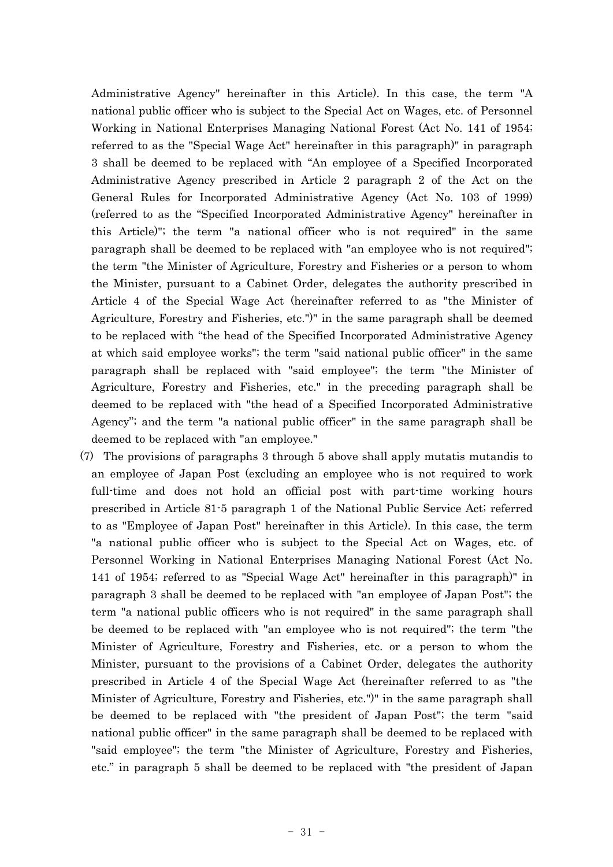Administrative Agency" hereinafter in this Article). In this case, the term "A national public officer who is subject to the Special Act on Wages, etc. of Personnel Working in National Enterprises Managing National Forest (Act No. 141 of 1954; referred to as the "Special Wage Act" hereinafter in this paragraph)" in paragraph 3 shall be deemed to be replaced with "An employee of a Specified Incorporated Administrative Agency prescribed in Article 2 paragraph 2 of the Act on the General Rules for Incorporated Administrative Agency (Act No. 103 of 1999) (referred to as the "Specified Incorporated Administrative Agency" hereinafter in this Article)"; the term "a national officer who is not required" in the same paragraph shall be deemed to be replaced with "an employee who is not required"; the term "the Minister of Agriculture, Forestry and Fisheries or a person to whom the Minister, pursuant to a Cabinet Order, delegates the authority prescribed in Article 4 of the Special Wage Act (hereinafter referred to as "the Minister of Agriculture, Forestry and Fisheries, etc.")" in the same paragraph shall be deemed to be replaced with "the head of the Specified Incorporated Administrative Agency at which said employee works"; the term "said national public officer" in the same paragraph shall be replaced with "said employee"; the term "the Minister of Agriculture, Forestry and Fisheries, etc." in the preceding paragraph shall be deemed to be replaced with "the head of a Specified Incorporated Administrative Agency"; and the term "a national public officer" in the same paragraph shall be deemed to be replaced with "an employee."

(7) The provisions of paragraphs 3 through 5 above shall apply mutatis mutandis to an employee of Japan Post (excluding an employee who is not required to work full-time and does not hold an official post with part-time working hours prescribed in Article 81-5 paragraph 1 of the National Public Service Act; referred to as "Employee of Japan Post" hereinafter in this Article). In this case, the term "a national public officer who is subject to the Special Act on Wages, etc. of Personnel Working in National Enterprises Managing National Forest (Act No. 141 of 1954; referred to as "Special Wage Act" hereinafter in this paragraph)" in paragraph 3 shall be deemed to be replaced with "an employee of Japan Post"; the term "a national public officers who is not required" in the same paragraph shall be deemed to be replaced with "an employee who is not required"; the term "the Minister of Agriculture, Forestry and Fisheries, etc. or a person to whom the Minister, pursuant to the provisions of a Cabinet Order, delegates the authority prescribed in Article 4 of the Special Wage Act (hereinafter referred to as "the Minister of Agriculture, Forestry and Fisheries, etc.")" in the same paragraph shall be deemed to be replaced with "the president of Japan Post"; the term "said national public officer" in the same paragraph shall be deemed to be replaced with "said employee"; the term "the Minister of Agriculture, Forestry and Fisheries, etc." in paragraph 5 shall be deemed to be replaced with "the president of Japan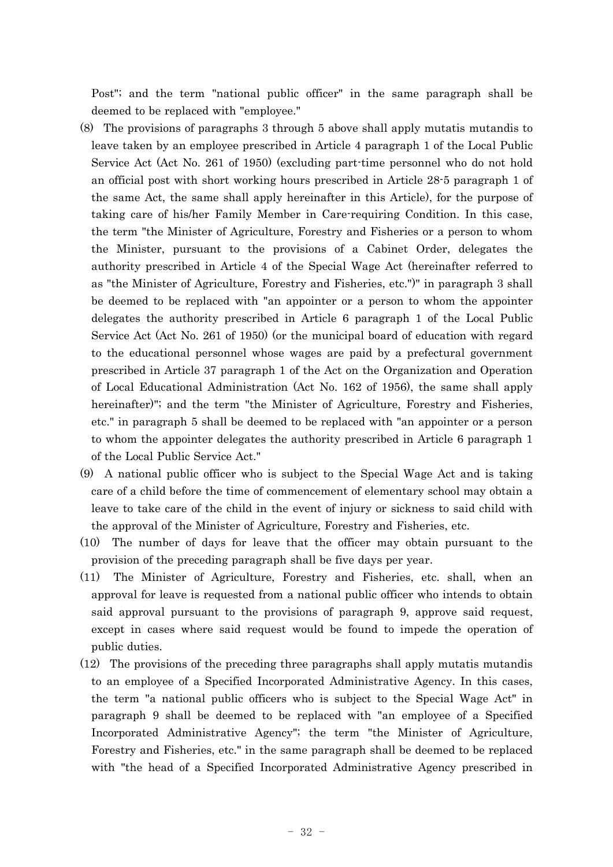Post"; and the term "national public officer" in the same paragraph shall be deemed to be replaced with "employee."

- (8) The provisions of paragraphs 3 through 5 above shall apply mutatis mutandis to leave taken by an employee prescribed in Article 4 paragraph 1 of the Local Public Service Act (Act No. 261 of 1950) (excluding part-time personnel who do not hold an official post with short working hours prescribed in Article 28-5 paragraph 1 of the same Act, the same shall apply hereinafter in this Article), for the purpose of taking care of his/her Family Member in Care-requiring Condition. In this case, the term "the Minister of Agriculture, Forestry and Fisheries or a person to whom the Minister, pursuant to the provisions of a Cabinet Order, delegates the authority prescribed in Article 4 of the Special Wage Act (hereinafter referred to as "the Minister of Agriculture, Forestry and Fisheries, etc.")" in paragraph 3 shall be deemed to be replaced with "an appointer or a person to whom the appointer delegates the authority prescribed in Article 6 paragraph 1 of the Local Public Service Act (Act No. 261 of 1950) (or the municipal board of education with regard to the educational personnel whose wages are paid by a prefectural government prescribed in Article 37 paragraph 1 of the Act on the Organization and Operation of Local Educational Administration (Act No. 162 of 1956), the same shall apply hereinafter)"; and the term "the Minister of Agriculture, Forestry and Fisheries, etc." in paragraph 5 shall be deemed to be replaced with "an appointer or a person to whom the appointer delegates the authority prescribed in Article 6 paragraph 1 of the Local Public Service Act."
- (9) A national public officer who is subject to the Special Wage Act and is taking care of a child before the time of commencement of elementary school may obtain a leave to take care of the child in the event of injury or sickness to said child with the approval of the Minister of Agriculture, Forestry and Fisheries, etc.
- (10) The number of days for leave that the officer may obtain pursuant to the provision of the preceding paragraph shall be five days per year.
- (11) The Minister of Agriculture, Forestry and Fisheries, etc. shall, when an approval for leave is requested from a national public officer who intends to obtain said approval pursuant to the provisions of paragraph 9, approve said request, except in cases where said request would be found to impede the operation of public duties.
- (12) The provisions of the preceding three paragraphs shall apply mutatis mutandis to an employee of a Specified Incorporated Administrative Agency. In this cases, the term "a national public officers who is subject to the Special Wage Act" in paragraph 9 shall be deemed to be replaced with "an employee of a Specified Incorporated Administrative Agency"; the term "the Minister of Agriculture, Forestry and Fisheries, etc." in the same paragraph shall be deemed to be replaced with "the head of a Specified Incorporated Administrative Agency prescribed in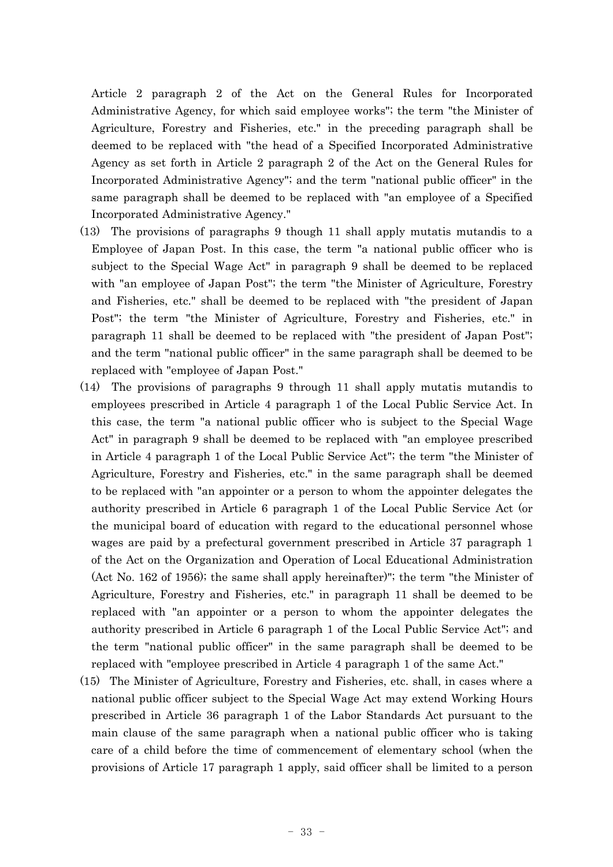Article 2 paragraph 2 of the Act on the General Rules for Incorporated Administrative Agency, for which said employee works"; the term "the Minister of Agriculture, Forestry and Fisheries, etc." in the preceding paragraph shall be deemed to be replaced with "the head of a Specified Incorporated Administrative Agency as set forth in Article 2 paragraph 2 of the Act on the General Rules for Incorporated Administrative Agency"; and the term "national public officer" in the same paragraph shall be deemed to be replaced with "an employee of a Specified Incorporated Administrative Agency."

- (13) The provisions of paragraphs 9 though 11 shall apply mutatis mutandis to a Employee of Japan Post. In this case, the term "a national public officer who is subject to the Special Wage Act" in paragraph 9 shall be deemed to be replaced with "an employee of Japan Post"; the term "the Minister of Agriculture, Forestry and Fisheries, etc." shall be deemed to be replaced with "the president of Japan Post"; the term "the Minister of Agriculture, Forestry and Fisheries, etc." in paragraph 11 shall be deemed to be replaced with "the president of Japan Post"; and the term "national public officer" in the same paragraph shall be deemed to be replaced with "employee of Japan Post."
- (14) The provisions of paragraphs 9 through 11 shall apply mutatis mutandis to employees prescribed in Article 4 paragraph 1 of the Local Public Service Act. In this case, the term "a national public officer who is subject to the Special Wage Act" in paragraph 9 shall be deemed to be replaced with "an employee prescribed in Article 4 paragraph 1 of the Local Public Service Act"; the term "the Minister of Agriculture, Forestry and Fisheries, etc." in the same paragraph shall be deemed to be replaced with "an appointer or a person to whom the appointer delegates the authority prescribed in Article 6 paragraph 1 of the Local Public Service Act (or the municipal board of education with regard to the educational personnel whose wages are paid by a prefectural government prescribed in Article 37 paragraph 1 of the Act on the Organization and Operation of Local Educational Administration (Act No. 162 of 1956); the same shall apply hereinafter)"; the term "the Minister of Agriculture, Forestry and Fisheries, etc." in paragraph 11 shall be deemed to be replaced with "an appointer or a person to whom the appointer delegates the authority prescribed in Article 6 paragraph 1 of the Local Public Service Act"; and the term "national public officer" in the same paragraph shall be deemed to be replaced with "employee prescribed in Article 4 paragraph 1 of the same Act."
- (15) The Minister of Agriculture, Forestry and Fisheries, etc. shall, in cases where a national public officer subject to the Special Wage Act may extend Working Hours prescribed in Article 36 paragraph 1 of the Labor Standards Act pursuant to the main clause of the same paragraph when a national public officer who is taking care of a child before the time of commencement of elementary school (when the provisions of Article 17 paragraph 1 apply, said officer shall be limited to a person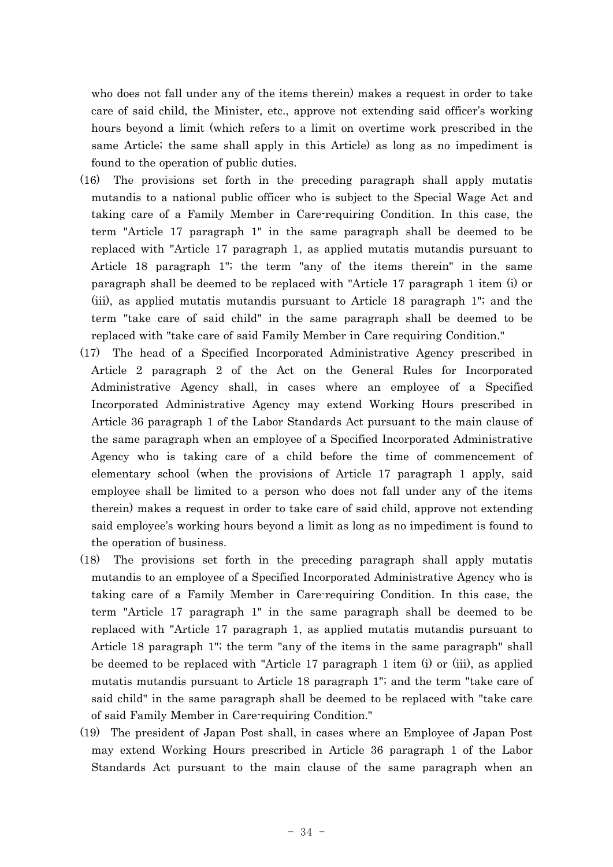who does not fall under any of the items therein) makes a request in order to take care of said child, the Minister, etc., approve not extending said officer's working hours beyond a limit (which refers to a limit on overtime work prescribed in the same Article; the same shall apply in this Article) as long as no impediment is found to the operation of public duties.

- (16) The provisions set forth in the preceding paragraph shall apply mutatis mutandis to a national public officer who is subject to the Special Wage Act and taking care of a Family Member in Care-requiring Condition. In this case, the term "Article 17 paragraph 1" in the same paragraph shall be deemed to be replaced with "Article 17 paragraph 1, as applied mutatis mutandis pursuant to Article 18 paragraph 1"; the term "any of the items therein" in the same paragraph shall be deemed to be replaced with "Article 17 paragraph 1 item (i) or (iii), as applied mutatis mutandis pursuant to Article 18 paragraph 1"; and the term "take care of said child" in the same paragraph shall be deemed to be replaced with "take care of said Family Member in Care requiring Condition."
- (17) The head of a Specified Incorporated Administrative Agency prescribed in Article 2 paragraph 2 of the Act on the General Rules for Incorporated Administrative Agency shall, in cases where an employee of a Specified Incorporated Administrative Agency may extend Working Hours prescribed in Article 36 paragraph 1 of the Labor Standards Act pursuant to the main clause of the same paragraph when an employee of a Specified Incorporated Administrative Agency who is taking care of a child before the time of commencement of elementary school (when the provisions of Article 17 paragraph 1 apply, said employee shall be limited to a person who does not fall under any of the items therein) makes a request in order to take care of said child, approve not extending said employee's working hours beyond a limit as long as no impediment is found to the operation of business.
- (18) The provisions set forth in the preceding paragraph shall apply mutatis mutandis to an employee of a Specified Incorporated Administrative Agency who is taking care of a Family Member in Care-requiring Condition. In this case, the term "Article 17 paragraph 1" in the same paragraph shall be deemed to be replaced with "Article 17 paragraph 1, as applied mutatis mutandis pursuant to Article 18 paragraph 1"; the term "any of the items in the same paragraph" shall be deemed to be replaced with "Article 17 paragraph 1 item (i) or (iii), as applied mutatis mutandis pursuant to Article 18 paragraph 1"; and the term "take care of said child" in the same paragraph shall be deemed to be replaced with "take care of said Family Member in Care-requiring Condition."
- (19) The president of Japan Post shall, in cases where an Employee of Japan Post may extend Working Hours prescribed in Article 36 paragraph 1 of the Labor Standards Act pursuant to the main clause of the same paragraph when an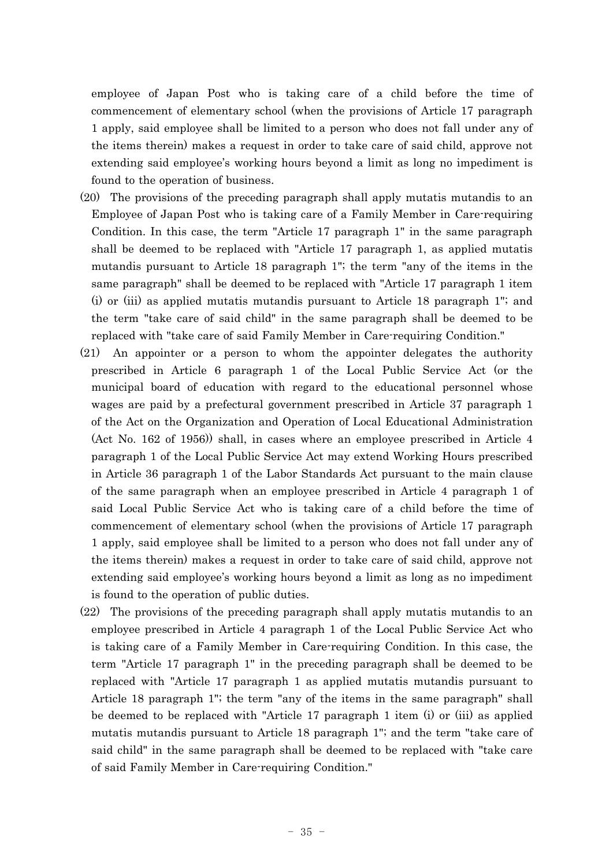employee of Japan Post who is taking care of a child before the time of commencement of elementary school (when the provisions of Article 17 paragraph 1 apply, said employee shall be limited to a person who does not fall under any of the items therein) makes a request in order to take care of said child, approve not extending said employee's working hours beyond a limit as long no impediment is found to the operation of business.

- (20) The provisions of the preceding paragraph shall apply mutatis mutandis to an Employee of Japan Post who is taking care of a Family Member in Care-requiring Condition. In this case, the term "Article 17 paragraph 1" in the same paragraph shall be deemed to be replaced with "Article 17 paragraph 1, as applied mutatis mutandis pursuant to Article 18 paragraph 1"; the term "any of the items in the same paragraph" shall be deemed to be replaced with "Article 17 paragraph 1 item (i) or (iii) as applied mutatis mutandis pursuant to Article 18 paragraph 1"; and the term "take care of said child" in the same paragraph shall be deemed to be replaced with "take care of said Family Member in Care-requiring Condition."
- (21) An appointer or a person to whom the appointer delegates the authority prescribed in Article 6 paragraph 1 of the Local Public Service Act (or the municipal board of education with regard to the educational personnel whose wages are paid by a prefectural government prescribed in Article 37 paragraph 1 of the Act on the Organization and Operation of Local Educational Administration (Act No. 162 of 1956)) shall, in cases where an employee prescribed in Article 4 paragraph 1 of the Local Public Service Act may extend Working Hours prescribed in Article 36 paragraph 1 of the Labor Standards Act pursuant to the main clause of the same paragraph when an employee prescribed in Article 4 paragraph 1 of said Local Public Service Act who is taking care of a child before the time of commencement of elementary school (when the provisions of Article 17 paragraph 1 apply, said employee shall be limited to a person who does not fall under any of the items therein) makes a request in order to take care of said child, approve not extending said employee's working hours beyond a limit as long as no impediment is found to the operation of public duties.
- (22) The provisions of the preceding paragraph shall apply mutatis mutandis to an employee prescribed in Article 4 paragraph 1 of the Local Public Service Act who is taking care of a Family Member in Care-requiring Condition. In this case, the term "Article 17 paragraph 1" in the preceding paragraph shall be deemed to be replaced with "Article 17 paragraph 1 as applied mutatis mutandis pursuant to Article 18 paragraph 1"; the term "any of the items in the same paragraph" shall be deemed to be replaced with "Article 17 paragraph 1 item (i) or (iii) as applied mutatis mutandis pursuant to Article 18 paragraph 1"; and the term "take care of said child" in the same paragraph shall be deemed to be replaced with "take care of said Family Member in Care-requiring Condition."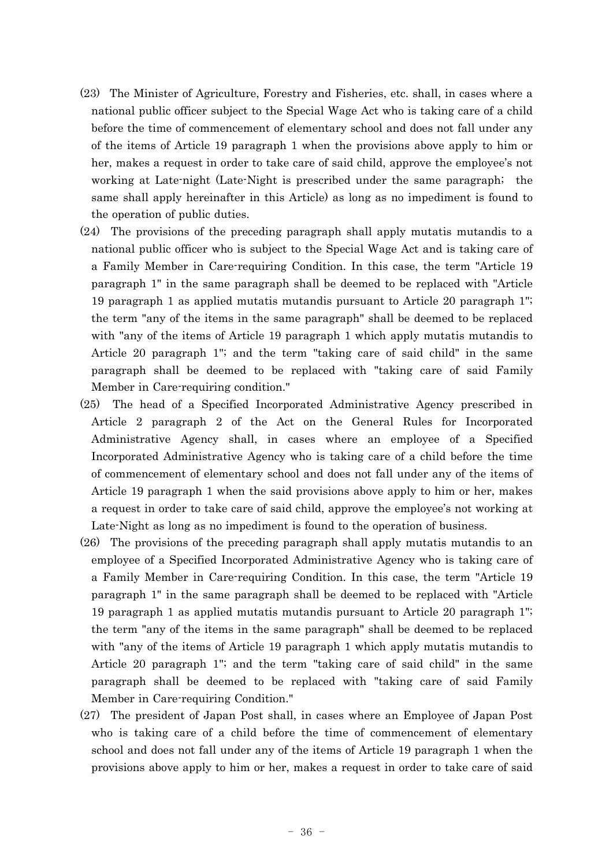- (23) The Minister of Agriculture, Forestry and Fisheries, etc. shall, in cases where a national public officer subject to the Special Wage Act who is taking care of a child before the time of commencement of elementary school and does not fall under any of the items of Article 19 paragraph 1 when the provisions above apply to him or her, makes a request in order to take care of said child, approve the employee's not working at Late-night (Late-Night is prescribed under the same paragraph; the same shall apply hereinafter in this Article) as long as no impediment is found to the operation of public duties.
- (24) The provisions of the preceding paragraph shall apply mutatis mutandis to a national public officer who is subject to the Special Wage Act and is taking care of a Family Member in Care-requiring Condition. In this case, the term "Article 19 paragraph 1" in the same paragraph shall be deemed to be replaced with "Article 19 paragraph 1 as applied mutatis mutandis pursuant to Article 20 paragraph 1"; the term "any of the items in the same paragraph" shall be deemed to be replaced with "any of the items of Article 19 paragraph 1 which apply mutatis mutandis to Article 20 paragraph 1"; and the term "taking care of said child" in the same paragraph shall be deemed to be replaced with "taking care of said Family Member in Care-requiring condition."
- (25) The head of a Specified Incorporated Administrative Agency prescribed in Article 2 paragraph 2 of the Act on the General Rules for Incorporated Administrative Agency shall, in cases where an employee of a Specified Incorporated Administrative Agency who is taking care of a child before the time of commencement of elementary school and does not fall under any of the items of Article 19 paragraph 1 when the said provisions above apply to him or her, makes a request in order to take care of said child, approve the employee's not working at Late-Night as long as no impediment is found to the operation of business.
- (26) The provisions of the preceding paragraph shall apply mutatis mutandis to an employee of a Specified Incorporated Administrative Agency who is taking care of a Family Member in Care-requiring Condition. In this case, the term "Article 19 paragraph 1" in the same paragraph shall be deemed to be replaced with "Article 19 paragraph 1 as applied mutatis mutandis pursuant to Article 20 paragraph 1"; the term "any of the items in the same paragraph" shall be deemed to be replaced with "any of the items of Article 19 paragraph 1 which apply mutatis mutandis to Article 20 paragraph 1"; and the term "taking care of said child" in the same paragraph shall be deemed to be replaced with "taking care of said Family Member in Care-requiring Condition."
- (27) The president of Japan Post shall, in cases where an Employee of Japan Post who is taking care of a child before the time of commencement of elementary school and does not fall under any of the items of Article 19 paragraph 1 when the provisions above apply to him or her, makes a request in order to take care of said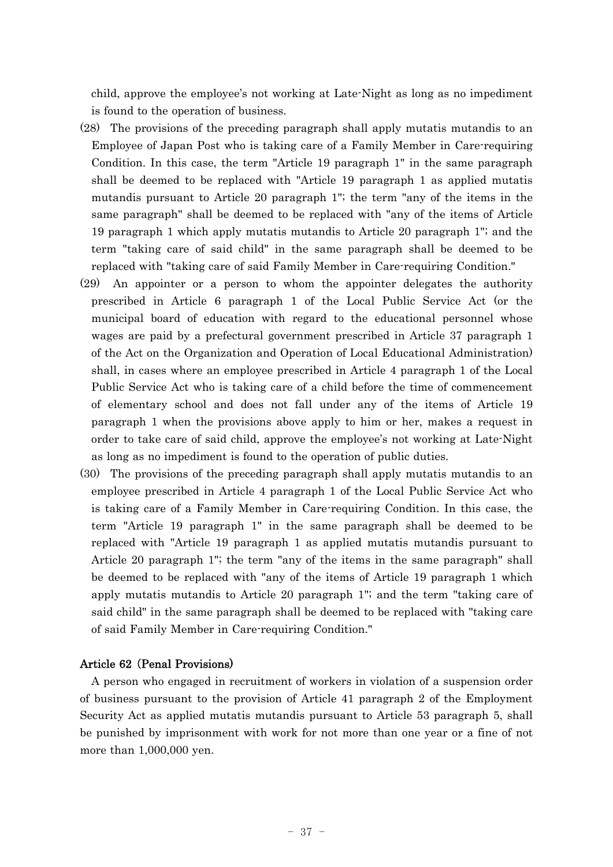child, approve the employee's not working at Late-Night as long as no impediment is found to the operation of business.

- (28) The provisions of the preceding paragraph shall apply mutatis mutandis to an Employee of Japan Post who is taking care of a Family Member in Care-requiring Condition. In this case, the term "Article 19 paragraph 1" in the same paragraph shall be deemed to be replaced with "Article 19 paragraph 1 as applied mutatis mutandis pursuant to Article 20 paragraph 1"; the term "any of the items in the same paragraph" shall be deemed to be replaced with "any of the items of Article 19 paragraph 1 which apply mutatis mutandis to Article 20 paragraph 1"; and the term "taking care of said child" in the same paragraph shall be deemed to be replaced with "taking care of said Family Member in Care-requiring Condition."
- (29) An appointer or a person to whom the appointer delegates the authority prescribed in Article 6 paragraph 1 of the Local Public Service Act (or the municipal board of education with regard to the educational personnel whose wages are paid by a prefectural government prescribed in Article 37 paragraph 1 of the Act on the Organization and Operation of Local Educational Administration) shall, in cases where an employee prescribed in Article 4 paragraph 1 of the Local Public Service Act who is taking care of a child before the time of commencement of elementary school and does not fall under any of the items of Article 19 paragraph 1 when the provisions above apply to him or her, makes a request in order to take care of said child, approve the employee's not working at Late-Night as long as no impediment is found to the operation of public duties.
- (30) The provisions of the preceding paragraph shall apply mutatis mutandis to an employee prescribed in Article 4 paragraph 1 of the Local Public Service Act who is taking care of a Family Member in Care-requiring Condition. In this case, the term "Article 19 paragraph 1" in the same paragraph shall be deemed to be replaced with "Article 19 paragraph 1 as applied mutatis mutandis pursuant to Article 20 paragraph 1"; the term "any of the items in the same paragraph" shall be deemed to be replaced with "any of the items of Article 19 paragraph 1 which apply mutatis mutandis to Article 20 paragraph 1"; and the term "taking care of said child" in the same paragraph shall be deemed to be replaced with "taking care of said Family Member in Care-requiring Condition."

## Article 62 (Penal Provisions)

A person who engaged in recruitment of workers in violation of a suspension order of business pursuant to the provision of Article 41 paragraph 2 of the Employment Security Act as applied mutatis mutandis pursuant to Article 53 paragraph 5, shall be punished by imprisonment with work for not more than one year or a fine of not more than 1,000,000 yen.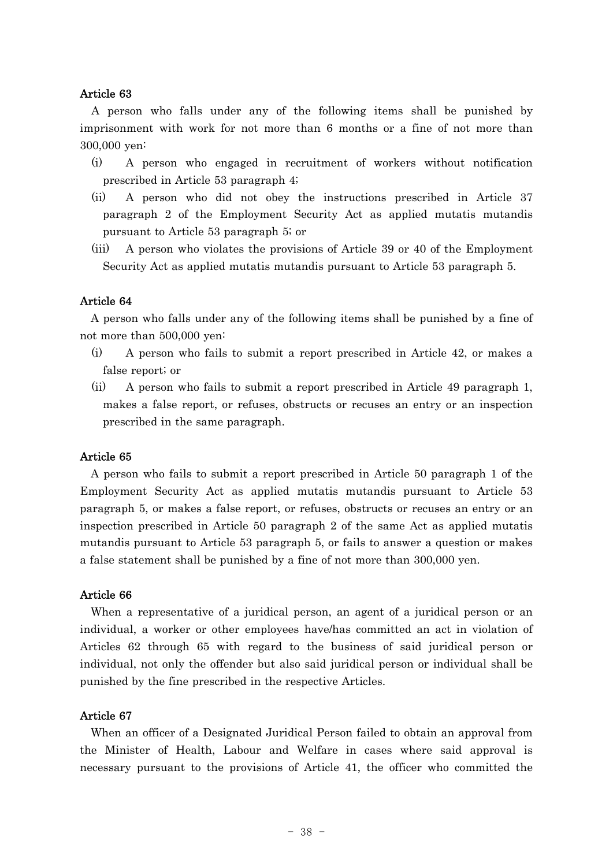## Article 63

A person who falls under any of the following items shall be punished by imprisonment with work for not more than 6 months or a fine of not more than 300,000 yen:

- (i) A person who engaged in recruitment of workers without notification prescribed in Article 53 paragraph 4;
- (ii) A person who did not obey the instructions prescribed in Article 37 paragraph 2 of the Employment Security Act as applied mutatis mutandis pursuant to Article 53 paragraph 5; or
- (iii) A person who violates the provisions of Article 39 or 40 of the Employment Security Act as applied mutatis mutandis pursuant to Article 53 paragraph 5.

### Article 64

A person who falls under any of the following items shall be punished by a fine of not more than 500,000 yen:

- (i) A person who fails to submit a report prescribed in Article 42, or makes a false report; or
- (ii) A person who fails to submit a report prescribed in Article 49 paragraph 1, makes a false report, or refuses, obstructs or recuses an entry or an inspection prescribed in the same paragraph.

#### Article 65

A person who fails to submit a report prescribed in Article 50 paragraph 1 of the Employment Security Act as applied mutatis mutandis pursuant to Article 53 paragraph 5, or makes a false report, or refuses, obstructs or recuses an entry or an inspection prescribed in Article 50 paragraph 2 of the same Act as applied mutatis mutandis pursuant to Article 53 paragraph 5, or fails to answer a question or makes a false statement shall be punished by a fine of not more than 300,000 yen.

#### Article 66

When a representative of a juridical person, an agent of a juridical person or an individual, a worker or other employees have/has committed an act in violation of Articles 62 through 65 with regard to the business of said juridical person or individual, not only the offender but also said juridical person or individual shall be punished by the fine prescribed in the respective Articles.

#### Article 67

When an officer of a Designated Juridical Person failed to obtain an approval from the Minister of Health, Labour and Welfare in cases where said approval is necessary pursuant to the provisions of Article 41, the officer who committed the